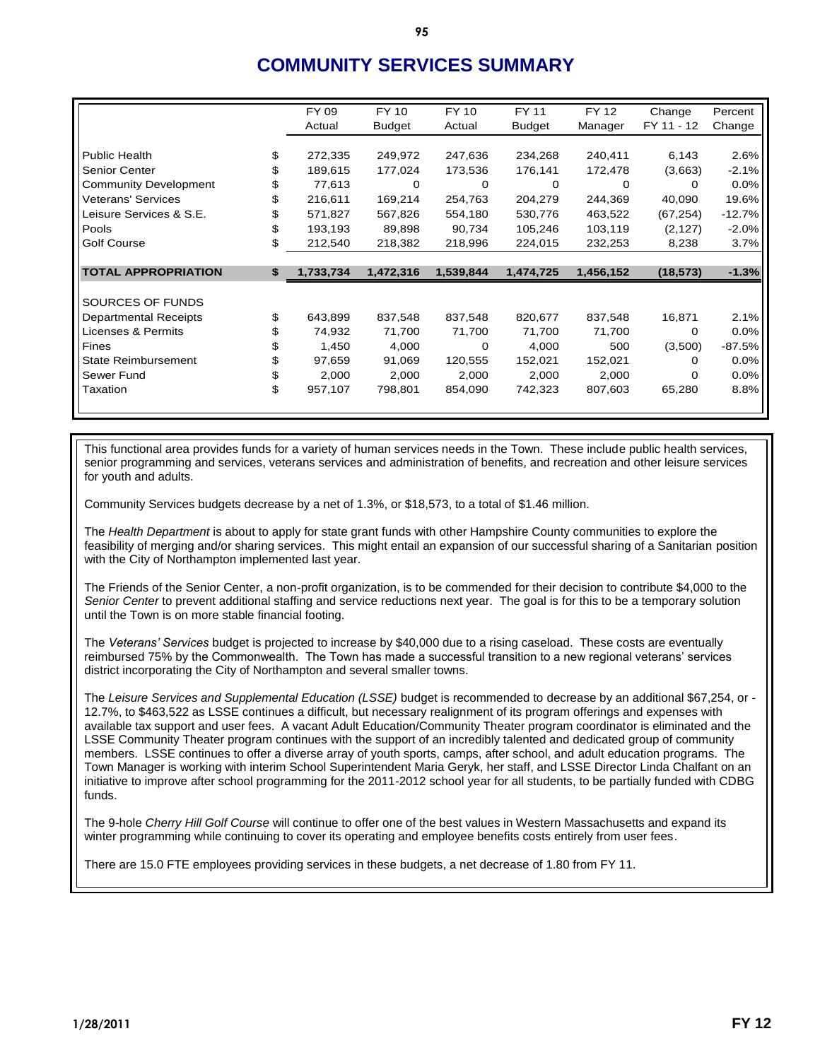# **COMMUNITY SERVICES SUMMARY**

|                              | FY 09           | FY 10         | FY 10     | FY 11         | FY 12     | Change     | Percent  |
|------------------------------|-----------------|---------------|-----------|---------------|-----------|------------|----------|
|                              | Actual          | <b>Budget</b> | Actual    | <b>Budget</b> | Manager   | FY 11 - 12 | Change   |
|                              |                 |               |           |               |           |            |          |
| <b>Public Health</b>         | \$<br>272,335   | 249,972       | 247,636   | 234,268       | 240,411   | 6,143      | 2.6%     |
| Senior Center                | 189,615         | 177,024       | 173,536   | 176,141       | 172,478   | (3,663)    | $-2.1%$  |
| <b>Community Development</b> | 77,613          | 0             | 0         | 0             | $\Omega$  | 0          | 0.0%     |
| <b>Veterans' Services</b>    | \$<br>216,611   | 169,214       | 254,763   | 204,279       | 244,369   | 40,090     | 19.6%    |
| Leisure Services & S.E.      | 571,827         | 567,826       | 554,180   | 530,776       | 463,522   | (67, 254)  | $-12.7%$ |
| Pools                        | \$<br>193,193   | 89,898        | 90,734    | 105,246       | 103,119   | (2, 127)   | $-2.0%$  |
| <b>Golf Course</b>           | \$<br>212,540   | 218,382       | 218,996   | 224,015       | 232,253   | 8,238      | 3.7%     |
|                              |                 |               |           |               |           |            |          |
| <b>TOTAL APPROPRIATION</b>   | \$<br>1,733,734 | 1,472,316     | 1,539,844 | 1,474,725     | 1,456,152 | (18, 573)  | $-1.3%$  |
|                              |                 |               |           |               |           |            |          |
| SOURCES OF FUNDS             |                 |               |           |               |           |            |          |
| <b>Departmental Receipts</b> | \$<br>643,899   | 837,548       | 837,548   | 820,677       | 837,548   | 16,871     | 2.1%     |
| Licenses & Permits           | 74,932          | 71,700        | 71,700    | 71,700        | 71,700    | 0          | 0.0%     |
| Fines                        | 1,450           | 4,000         | 0         | 4,000         | 500       | (3,500)    | $-87.5%$ |
| <b>State Reimbursement</b>   | 97,659          | 91,069        | 120,555   | 152,021       | 152,021   | 0          | 0.0%     |
| Sewer Fund                   | \$<br>2,000     | 2,000         | 2,000     | 2,000         | 2,000     | 0          | 0.0%     |
| Taxation                     | \$<br>957,107   | 798,801       | 854,090   | 742,323       | 807,603   | 65,280     | 8.8%     |
|                              |                 |               |           |               |           |            |          |

This functional area provides funds for a variety of human services needs in the Town. These include public health services, senior programming and services, veterans services and administration of benefits, and recreation and other leisure services for youth and adults.

Community Services budgets decrease by a net of 1.3%, or \$18,573, to a total of \$1.46 million.

The *Health Department* is about to apply for state grant funds with other Hampshire County communities to explore the feasibility of merging and/or sharing services. This might entail an expansion of our successful sharing of a Sanitarian position with the City of Northampton implemented last year.

The Friends of the Senior Center, a non-profit organization, is to be commended for their decision to contribute \$4,000 to the *Senior Center* to prevent additional staffing and service reductions next year. The goal is for this to be a temporary solution until the Town is on more stable financial footing.

The *Veterans' Services* budget is projected to increase by \$40,000 due to a rising caseload. These costs are eventually reimbursed 75% by the Commonwealth. The Town has made a successful transition to a new regional veterans' services district incorporating the City of Northampton and several smaller towns.

The *Leisure Services and Supplemental Education (LSSE)* budget is recommended to decrease by an additional \$67,254, or - 12.7%, to \$463,522 as LSSE continues a difficult, but necessary realignment of its program offerings and expenses with available tax support and user fees. A vacant Adult Education/Community Theater program coordinator is eliminated and the LSSE Community Theater program continues with the support of an incredibly talented and dedicated group of community members. LSSE continues to offer a diverse array of youth sports, camps, after school, and adult education programs. The Town Manager is working with interim School Superintendent Maria Geryk, her staff, and LSSE Director Linda Chalfant on an initiative to improve after school programming for the 2011-2012 school year for all students, to be partially funded with CDBG funds.

The 9-hole *Cherry Hill Golf Course* will continue to offer one of the best values in Western Massachusetts and expand its winter programming while continuing to cover its operating and employee benefits costs entirely from user fees.

There are 15.0 FTE employees providing services in these budgets, a net decrease of 1.80 from FY 11.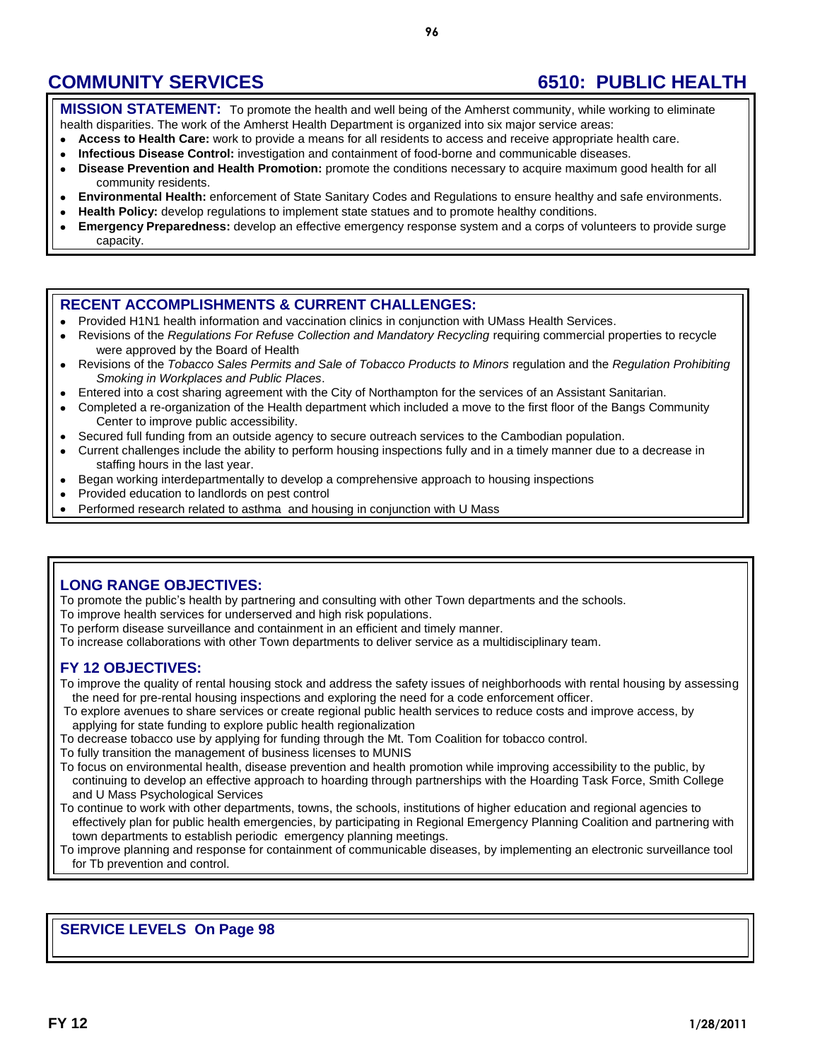**MISSION STATEMENT:** To promote the health and well being of the Amherst community, while working to eliminate health disparities. The work of the Amherst Health Department is organized into six major service areas:

- **Access to Health Care:** work to provide a means for all residents to access and receive appropriate health care.
- **Infectious Disease Control:** investigation and containment of food-borne and communicable diseases.  $\bullet$
- **Disease Prevention and Health Promotion:** promote the conditions necessary to acquire maximum good health for all  $\bullet$ community residents.
- **Environmental Health:** enforcement of State Sanitary Codes and Regulations to ensure healthy and safe environments.
- **Health Policy:** develop regulations to implement state statues and to promote healthy conditions.
- $\bullet$ **Emergency Preparedness:** develop an effective emergency response system and a corps of volunteers to provide surge capacity.

### **RECENT ACCOMPLISHMENTS & CURRENT CHALLENGES:**

- Provided H1N1 health information and vaccination clinics in conjunction with UMass Health Services.
- $\bullet$ Revisions of the *Regulations For Refuse Collection and Mandatory Recycling* requiring commercial properties to recycle were approved by the Board of Health
- $\bullet$ Revisions of the *Tobacco Sales Permits and Sale of Tobacco Products to Minors* regulation and the *Regulation Prohibiting Smoking in Workplaces and Public Places*.
- Entered into a cost sharing agreement with the City of Northampton for the services of an Assistant Sanitarian.  $\bullet$
- Completed a re-organization of the Health department which included a move to the first floor of the Bangs Community  $\bullet$ Center to improve public accessibility.
- Secured full funding from an outside agency to secure outreach services to the Cambodian population.  $\bullet$
- Current challenges include the ability to perform housing inspections fully and in a timely manner due to a decrease in  $\bullet$ staffing hours in the last year.
- Began working interdepartmentally to develop a comprehensive approach to housing inspections  $\bullet$
- Provided education to landlords on pest control  $\bullet$
- Performed research related to asthma and housing in conjunction with U Mass

## **LONG RANGE OBJECTIVES:**

To promote the public's health by partnering and consulting with other Town departments and the schools.

To improve health services for underserved and high risk populations.

To perform disease surveillance and containment in an efficient and timely manner.

To increase collaborations with other Town departments to deliver service as a multidisciplinary team.

## **FY 12 OBJECTIVES:**

To improve the quality of rental housing stock and address the safety issues of neighborhoods with rental housing by assessing the need for pre-rental housing inspections and exploring the need for a code enforcement officer.

To explore avenues to share services or create regional public health services to reduce costs and improve access, by applying for state funding to explore public health regionalization

To decrease tobacco use by applying for funding through the Mt. Tom Coalition for tobacco control.

To fully transition the management of business licenses to MUNIS

- To focus on environmental health, disease prevention and health promotion while improving accessibility to the public, by continuing to develop an effective approach to hoarding through partnerships with the Hoarding Task Force, Smith College and U Mass Psychological Services
- To continue to work with other departments, towns, the schools, institutions of higher education and regional agencies to effectively plan for public health emergencies, by participating in Regional Emergency Planning Coalition and partnering with town departments to establish periodic emergency planning meetings.

To improve planning and response for containment of communicable diseases, by implementing an electronic surveillance tool for Tb prevention and control.

## **SERVICE LEVELS On Page 98**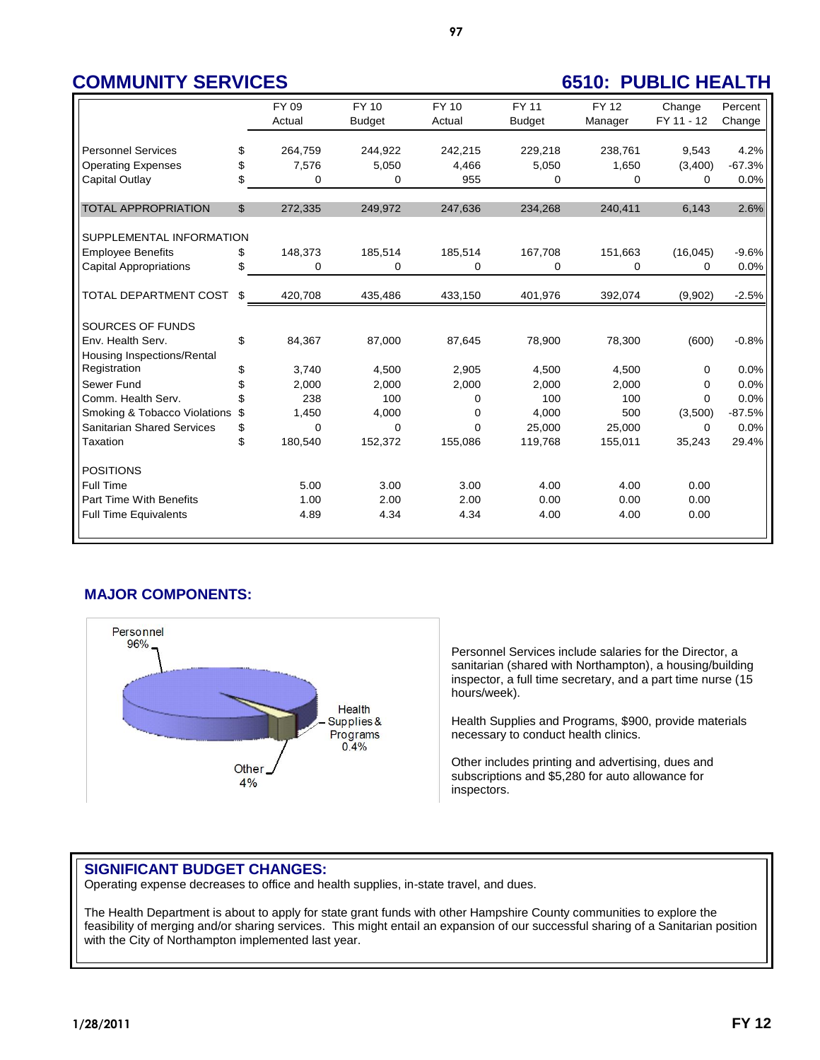|                                   |    | FY 09    | FY 10         | FY 10    | <b>FY 11</b>  | <b>FY 12</b> | Change     | Percent  |
|-----------------------------------|----|----------|---------------|----------|---------------|--------------|------------|----------|
|                                   |    | Actual   | <b>Budget</b> | Actual   | <b>Budget</b> | Manager      | FY 11 - 12 | Change   |
|                                   |    |          |               |          |               |              |            |          |
| <b>Personnel Services</b>         | \$ | 264,759  | 244,922       | 242,215  | 229,218       | 238,761      | 9.543      | 4.2%     |
| <b>Operating Expenses</b>         | \$ | 7,576    | 5.050         | 4.466    | 5,050         | 1,650        | (3,400)    | $-67.3%$ |
| <b>Capital Outlay</b>             | \$ | $\Omega$ | $\Omega$      | 955      | $\Omega$      | $\Omega$     | $\Omega$   | 0.0%     |
|                                   |    |          |               |          |               |              |            |          |
| <b>TOTAL APPROPRIATION</b>        | \$ | 272,335  | 249,972       | 247,636  | 234,268       | 240,411      | 6,143      | 2.6%     |
| SUPPLEMENTAL INFORMATION          |    |          |               |          |               |              |            |          |
| <b>Employee Benefits</b>          | S  | 148,373  | 185,514       | 185,514  | 167,708       | 151,663      | (16, 045)  | $-9.6%$  |
| <b>Capital Appropriations</b>     | \$ | 0        | 0             | 0        | 0             | 0            | $\Omega$   | 0.0%     |
|                                   |    |          |               |          |               |              |            |          |
| TOTAL DEPARTMENT COST             | \$ | 420,708  | 435,486       | 433,150  | 401,976       | 392,074      | (9,902)    | $-2.5%$  |
| SOURCES OF FUNDS                  |    |          |               |          |               |              |            |          |
| Env. Health Serv.                 | \$ | 84,367   | 87,000        | 87,645   | 78,900        | 78,300       | (600)      | $-0.8%$  |
| Housing Inspections/Rental        |    |          |               |          |               |              |            |          |
| Registration                      | \$ | 3,740    | 4,500         | 2,905    | 4,500         | 4,500        | 0          | 0.0%     |
| Sewer Fund                        | \$ | 2,000    | 2.000         | 2,000    | 2.000         | 2.000        | 0          | 0.0%     |
| Comm. Health Serv.                |    | 238      | 100           | 0        | 100           | 100          | 0          | 0.0%     |
| Smoking & Tobacco Violations      | \$ | 1,450    | 4,000         | 0        | 4,000         | 500          | (3,500)    | $-87.5%$ |
| <b>Sanitarian Shared Services</b> | \$ | $\Omega$ | $\Omega$      | $\Omega$ | 25.000        | 25.000       | 0          | 0.0%     |
| Taxation                          | \$ | 180,540  | 152,372       | 155,086  | 119,768       | 155,011      | 35,243     | 29.4%    |
| <b>POSITIONS</b>                  |    |          |               |          |               |              |            |          |
| Full Time                         |    | 5.00     | 3.00          | 3.00     | 4.00          | 4.00         | 0.00       |          |
| Part Time With Benefits           |    | 1.00     | 2.00          | 2.00     | 0.00          | 0.00         | 0.00       |          |
| <b>Full Time Equivalents</b>      |    | 4.89     | 4.34          | 4.34     | 4.00          | 4.00         | 0.00       |          |
|                                   |    |          |               |          |               |              |            |          |

## **MAJOR COMPONENTS:**



Personnel Services include salaries for the Director, a sanitarian (shared with Northampton), a housing/building inspector, a full time secretary, and a part time nurse (15 hours/week).

Health Supplies and Programs, \$900, provide materials necessary to conduct health clinics.

Other includes printing and advertising, dues and subscriptions and \$5,280 for auto allowance for inspectors.

### **SIGNIFICANT BUDGET CHANGES:**

Operating expense decreases to office and health supplies, in-state travel, and dues.

The Health Department is about to apply for state grant funds with other Hampshire County communities to explore the feasibility of merging and/or sharing services. This might entail an expansion of our successful sharing of a Sanitarian position with the City of Northampton implemented last year.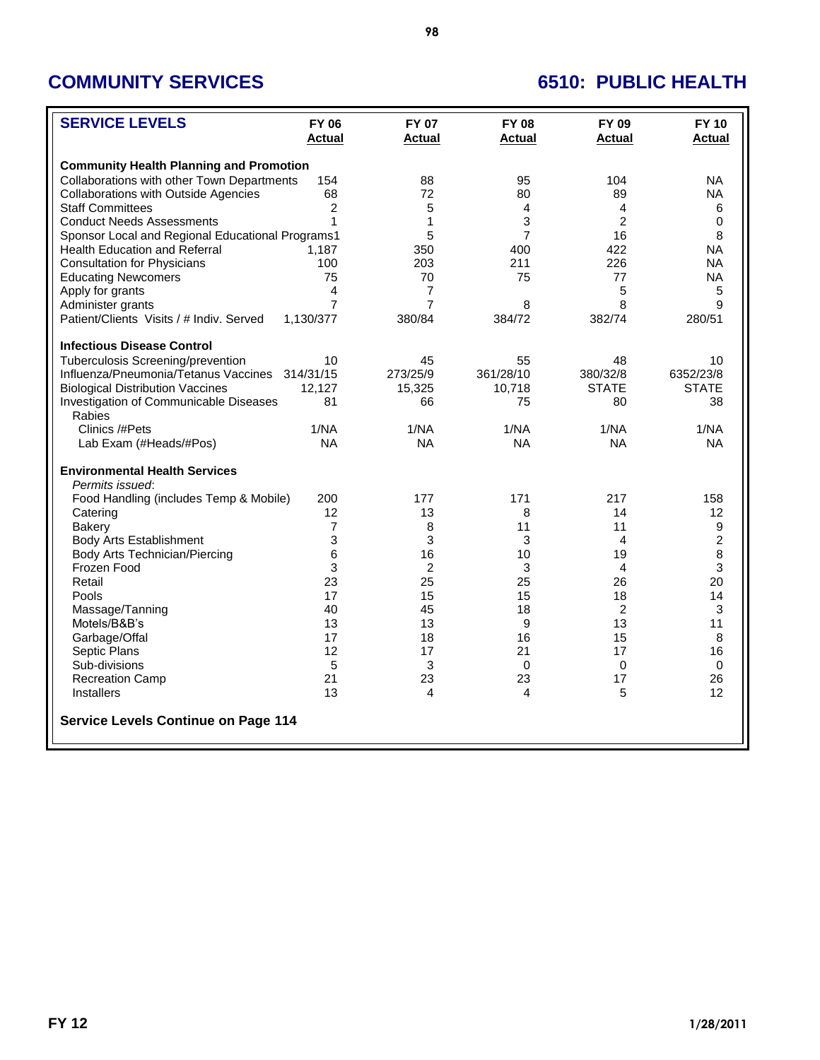| <b>SERVICE LEVELS</b>                            | <b>FY 06</b>   | <b>FY 07</b>   | <b>FY 08</b>   | FY 09          | <b>FY 10</b>   |
|--------------------------------------------------|----------------|----------------|----------------|----------------|----------------|
|                                                  | <b>Actual</b>  | <b>Actual</b>  | <b>Actual</b>  | <b>Actual</b>  | <b>Actual</b>  |
| <b>Community Health Planning and Promotion</b>   |                |                |                |                |                |
| Collaborations with other Town Departments       | 154            | 88             | 95             | 104            | NA.            |
| <b>Collaborations with Outside Agencies</b>      | 68             | 72             | 80             | 89             | <b>NA</b>      |
| <b>Staff Committees</b>                          | 2              | 5              | 4              | 4              | 6              |
| <b>Conduct Needs Assessments</b>                 | 1              | 1              | 3              | $\overline{2}$ | 0              |
| Sponsor Local and Regional Educational Programs1 |                | 5              | $\overline{7}$ | 16             | 8              |
| <b>Health Education and Referral</b>             | 1,187          | 350            | 400            | 422            | <b>NA</b>      |
| <b>Consultation for Physicians</b>               | 100            | 203            | 211            | 226            | <b>NA</b>      |
| <b>Educating Newcomers</b>                       | 75             | 70             | 75             | 77             | <b>NA</b>      |
| Apply for grants                                 | 4              | 7              |                | 5              | 5              |
| Administer grants                                | $\overline{7}$ | $\overline{7}$ | 8              | 8              | 9              |
| Patient/Clients Visits / # Indiv. Served         | 1,130/377      | 380/84         | 384/72         | 382/74         | 280/51         |
| <b>Infectious Disease Control</b>                |                |                |                |                |                |
| Tuberculosis Screening/prevention                | 10             | 45             | 55             | 48             | 10             |
| Influenza/Pneumonia/Tetanus Vaccines             | 314/31/15      | 273/25/9       | 361/28/10      | 380/32/8       | 6352/23/8      |
| <b>Biological Distribution Vaccines</b>          | 12,127         | 15,325         | 10,718         | <b>STATE</b>   | <b>STATE</b>   |
| Investigation of Communicable Diseases           | 81             | 66             | 75             | 80             | 38             |
| Rabies                                           |                |                |                |                |                |
| Clinics /#Pets                                   | 1/NA           | 1/NA           | 1/NA           | 1/NA           | 1/NA           |
| Lab Exam (#Heads/#Pos)                           | <b>NA</b>      | <b>NA</b>      | <b>NA</b>      | <b>NA</b>      | <b>NA</b>      |
| <b>Environmental Health Services</b>             |                |                |                |                |                |
| Permits issued:                                  |                |                |                |                |                |
| Food Handling (includes Temp & Mobile)           | 200            | 177            | 171            | 217            | 158            |
| Catering                                         | 12             | 13             | 8              | 14             | 12             |
| Bakery                                           | $\overline{7}$ | 8              | 11             | 11             | 9              |
| Body Arts Establishment                          | 3              | 3              | 3              | $\overline{4}$ | $\overline{2}$ |
| Body Arts Technician/Piercing                    | 6              | 16             | 10             | 19             | 8              |
| Frozen Food                                      | 3              | $\overline{c}$ | 3              | 4              | 3              |
| Retail                                           | 23             | 25             | 25             | 26             | 20             |
| Pools                                            | 17             | 15             | 15             | 18             | 14             |
| Massage/Tanning                                  | 40             | 45             | 18             | $\overline{2}$ | 3              |
| Motels/B&B's                                     | 13             | 13             | 9              | 13             | 11             |
| Garbage/Offal                                    | 17             | 18             | 16             | 15             | 8              |
| Septic Plans                                     | 12             | 17             | 21             | 17             | 16             |
| Sub-divisions                                    | 5              | 3              | 0              | 0              | $\mathbf 0$    |
| <b>Recreation Camp</b>                           | 21             | 23             | 23             | 17             | 26             |
| <b>Installers</b>                                | 13             | 4              | 4              | 5              | 12             |
| <b>Service Levels Continue on Page 114</b>       |                |                |                |                |                |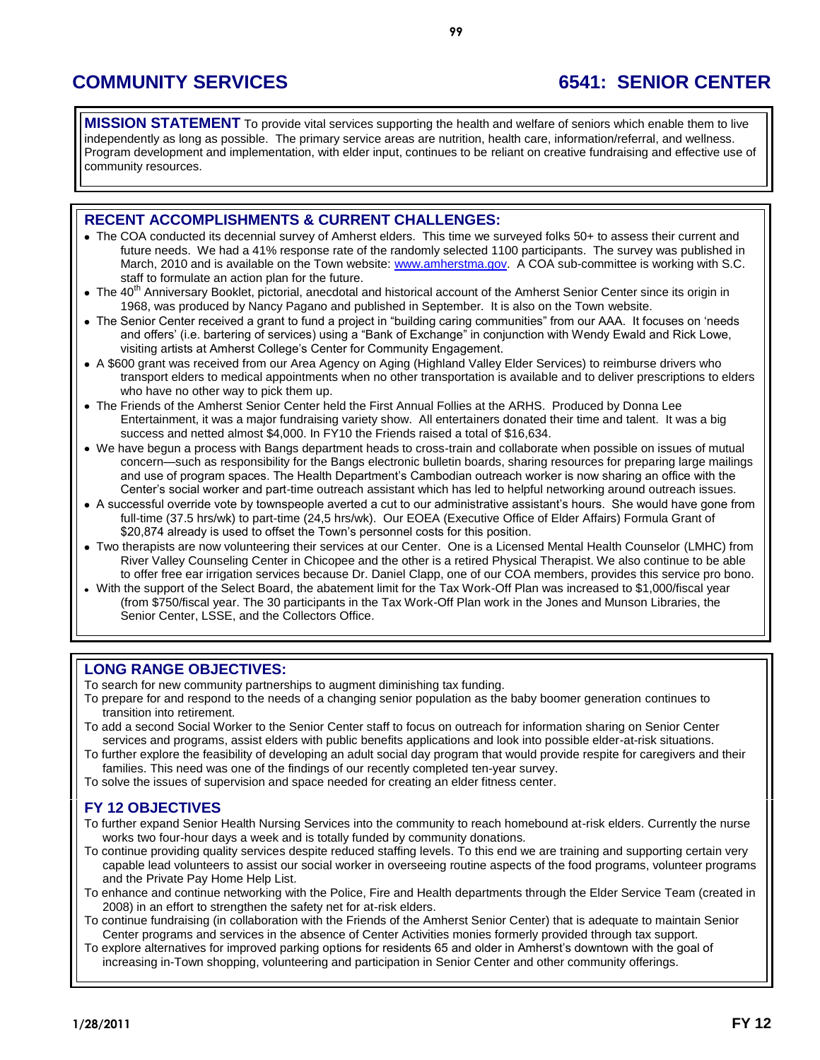**COMMUNITY SERVICES 6541: SENIOR CENTER**

**MISSION STATEMENT** To provide vital services supporting the health and welfare of seniors which enable them to live independently as long as possible. The primary service areas are nutrition, health care, information/referral, and wellness. Program development and implementation, with elder input, continues to be reliant on creative fundraising and effective use of community resources.

### **RECENT ACCOMPLISHMENTS & CURRENT CHALLENGES:**

- The COA conducted its decennial survey of Amherst elders. This time we surveyed folks 50+ to assess their current and future needs. We had a 41% response rate of the randomly selected 1100 participants. The survey was published in March, 2010 and is available on the Town website: [www.amherstma.gov.](http://www.amherstma.gov/) A COA sub-committee is working with S.C. staff to formulate an action plan for the future.
- $\bullet$  The 40<sup>th</sup> Anniversary Booklet, pictorial, anecdotal and historical account of the Amherst Senior Center since its origin in 1968, was produced by Nancy Pagano and published in September. It is also on the Town website.
- The Senior Center received a grant to fund a project in "building caring communities" from our AAA. It focuses on 'needs and offers' (i.e. bartering of services) using a "Bank of Exchange" in conjunction with Wendy Ewald and Rick Lowe, visiting artists at Amherst College's Center for Community Engagement.
- A \$600 grant was received from our Area Agency on Aging (Highland Valley Elder Services) to reimburse drivers who transport elders to medical appointments when no other transportation is available and to deliver prescriptions to elders who have no other way to pick them up.
- The Friends of the Amherst Senior Center held the First Annual Follies at the ARHS. Produced by Donna Lee Entertainment, it was a major fundraising variety show. All entertainers donated their time and talent. It was a big success and netted almost \$4,000. In FY10 the Friends raised a total of \$16,634.
- We have begun a process with Bangs department heads to cross-train and collaborate when possible on issues of mutual concern—such as responsibility for the Bangs electronic bulletin boards, sharing resources for preparing large mailings and use of program spaces. The Health Department's Cambodian outreach worker is now sharing an office with the Center's social worker and part-time outreach assistant which has led to helpful networking around outreach issues.
- A successful override vote by townspeople averted a cut to our administrative assistant's hours. She would have gone from full-time (37.5 hrs/wk) to part-time (24,5 hrs/wk). Our EOEA (Executive Office of Elder Affairs) Formula Grant of \$20,874 already is used to offset the Town's personnel costs for this position.
- Two therapists are now volunteering their services at our Center. One is a Licensed Mental Health Counselor (LMHC) from River Valley Counseling Center in Chicopee and the other is a retired Physical Therapist. We also continue to be able to offer free ear irrigation services because Dr. Daniel Clapp, one of our COA members, provides this service pro bono.
- With the support of the Select Board, the abatement limit for the Tax Work-Off Plan was increased to \$1,000/fiscal year (from \$750/fiscal year. The 30 participants in the Tax Work-Off Plan work in the Jones and Munson Libraries, the Senior Center, LSSE, and the Collectors Office.

### **LONG RANGE OBJECTIVES:**

To search for new community partnerships to augment diminishing tax funding.

- To prepare for and respond to the needs of a changing senior population as the baby boomer generation continues to transition into retirement.
- To add a second Social Worker to the Senior Center staff to focus on outreach for information sharing on Senior Center services and programs, assist elders with public benefits applications and look into possible elder-at-risk situations.
- To further explore the feasibility of developing an adult social day program that would provide respite for caregivers and their families. This need was one of the findings of our recently completed ten-year survey.
- To solve the issues of supervision and space needed for creating an elder fitness center.

### **FY 12 OBJECTIVES**

- To further expand Senior Health Nursing Services into the community to reach homebound at-risk elders. Currently the nurse works two four-hour days a week and is totally funded by community donations.
- To continue providing quality services despite reduced staffing levels. To this end we are training and supporting certain very capable lead volunteers to assist our social worker in overseeing routine aspects of the food programs, volunteer programs and the Private Pay Home Help List.
- To enhance and continue networking with the Police, Fire and Health departments through the Elder Service Team (created in 2008) in an effort to strengthen the safety net for at-risk elders.
- To continue fundraising (in collaboration with the Friends of the Amherst Senior Center) that is adequate to maintain Senior Center programs and services in the absence of Center Activities monies formerly provided through tax support.
- To explore alternatives for improved parking options for residents 65 and older in Amherst's downtown with the goal of increasing in-Town shopping, volunteering and participation in Senior Center and other community offerings.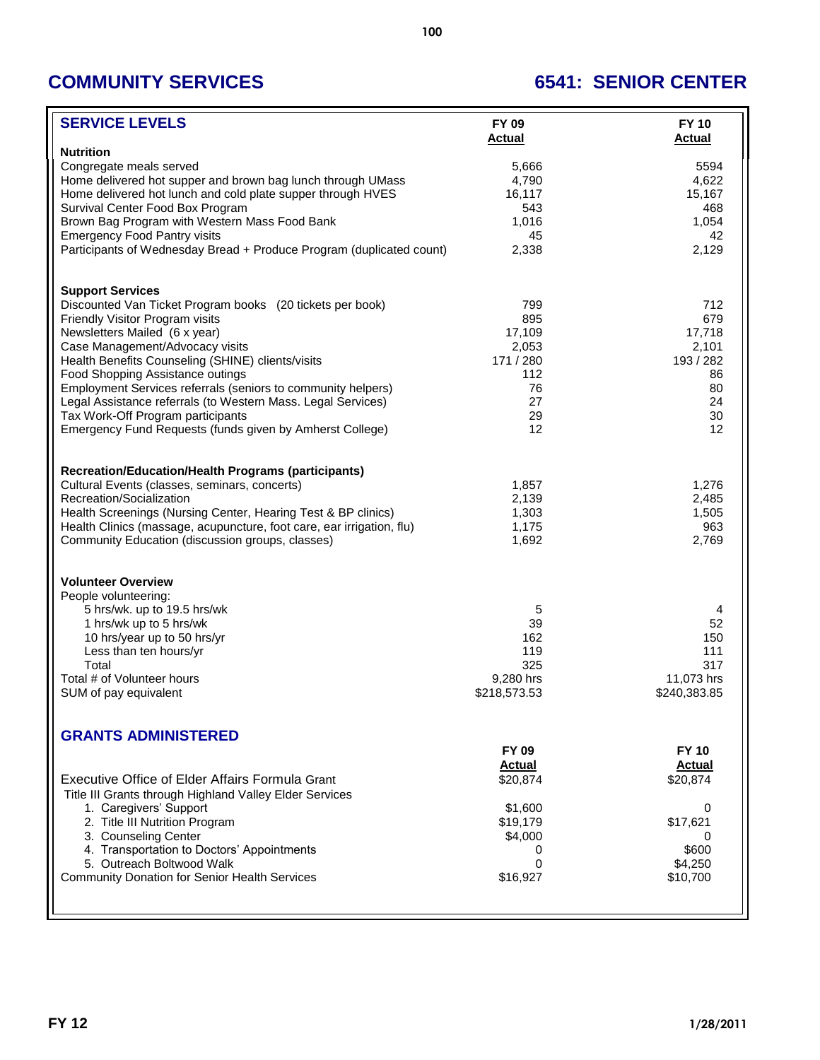# **COMMUNITY SERVICES 6541: SENIOR CENTER**

| <b>SERVICE LEVELS</b>                                                                                       | FY 09<br><b>Actual</b> | <b>FY 10</b><br><b>Actual</b> |
|-------------------------------------------------------------------------------------------------------------|------------------------|-------------------------------|
| <b>Nutrition</b>                                                                                            |                        |                               |
| Congregate meals served                                                                                     | 5,666                  | 5594                          |
| Home delivered hot supper and brown bag lunch through UMass                                                 | 4,790                  | 4,622                         |
| Home delivered hot lunch and cold plate supper through HVES                                                 | 16,117                 | 15,167                        |
| Survival Center Food Box Program                                                                            | 543                    | 468                           |
| Brown Bag Program with Western Mass Food Bank                                                               | 1,016                  | 1,054                         |
| <b>Emergency Food Pantry visits</b>                                                                         | 45                     | 42                            |
| Participants of Wednesday Bread + Produce Program (duplicated count)                                        | 2,338                  | 2,129                         |
| <b>Support Services</b>                                                                                     |                        |                               |
| Discounted Van Ticket Program books (20 tickets per book)                                                   | 799                    | 712                           |
| Friendly Visitor Program visits                                                                             | 895                    | 679                           |
| Newsletters Mailed (6 x year)                                                                               | 17,109                 | 17,718                        |
| Case Management/Advocacy visits                                                                             | 2,053                  | 2,101                         |
| Health Benefits Counseling (SHINE) clients/visits                                                           | 171 / 280<br>112       | 193 / 282                     |
| Food Shopping Assistance outings<br>Employment Services referrals (seniors to community helpers)            | 76                     | 86<br>80                      |
| Legal Assistance referrals (to Western Mass. Legal Services)                                                | 27                     | 24                            |
| Tax Work-Off Program participants                                                                           | 29                     | 30                            |
| Emergency Fund Requests (funds given by Amherst College)                                                    | 12                     | 12                            |
|                                                                                                             |                        |                               |
| <b>Recreation/Education/Health Programs (participants)</b><br>Cultural Events (classes, seminars, concerts) |                        |                               |
| Recreation/Socialization                                                                                    | 1,857<br>2,139         | 1,276<br>2,485                |
| Health Screenings (Nursing Center, Hearing Test & BP clinics)                                               | 1,303                  | 1,505                         |
| Health Clinics (massage, acupuncture, foot care, ear irrigation, flu)                                       | 1,175                  | 963                           |
| Community Education (discussion groups, classes)                                                            | 1,692                  | 2,769                         |
| <b>Volunteer Overview</b>                                                                                   |                        |                               |
| People volunteering:                                                                                        |                        |                               |
| 5 hrs/wk. up to 19.5 hrs/wk                                                                                 | 5                      | 4                             |
| 1 hrs/wk up to 5 hrs/wk                                                                                     | 39                     | 52                            |
| 10 hrs/year up to 50 hrs/yr                                                                                 | 162                    | 150                           |
| Less than ten hours/yr                                                                                      | 119                    | 111                           |
| Total                                                                                                       | 325                    | 317                           |
| Total # of Volunteer hours                                                                                  | 9,280 hrs              | 11,073 hrs                    |
| SUM of pay equivalent                                                                                       | \$218,573.53           | \$240,383.85                  |
| <b>GRANTS ADMINISTERED</b>                                                                                  |                        |                               |
|                                                                                                             | <b>FY 09</b>           | <b>FY 10</b>                  |
|                                                                                                             | <b>Actual</b>          | <b>Actual</b>                 |
| <b>Executive Office of Elder Affairs Formula Grant</b>                                                      | \$20,874               | \$20,874                      |
| Title III Grants through Highland Valley Elder Services                                                     |                        |                               |
| 1. Caregivers' Support                                                                                      | \$1,600                | 0                             |
| 2. Title III Nutrition Program                                                                              | \$19,179               | \$17,621                      |
| 3. Counseling Center                                                                                        | \$4,000                | 0                             |
| 4. Transportation to Doctors' Appointments                                                                  | 0                      | \$600                         |
| 5. Outreach Boltwood Walk                                                                                   | $\mathbf 0$            | \$4,250                       |
| <b>Community Donation for Senior Health Services</b>                                                        | \$16,927               | \$10,700                      |
|                                                                                                             |                        |                               |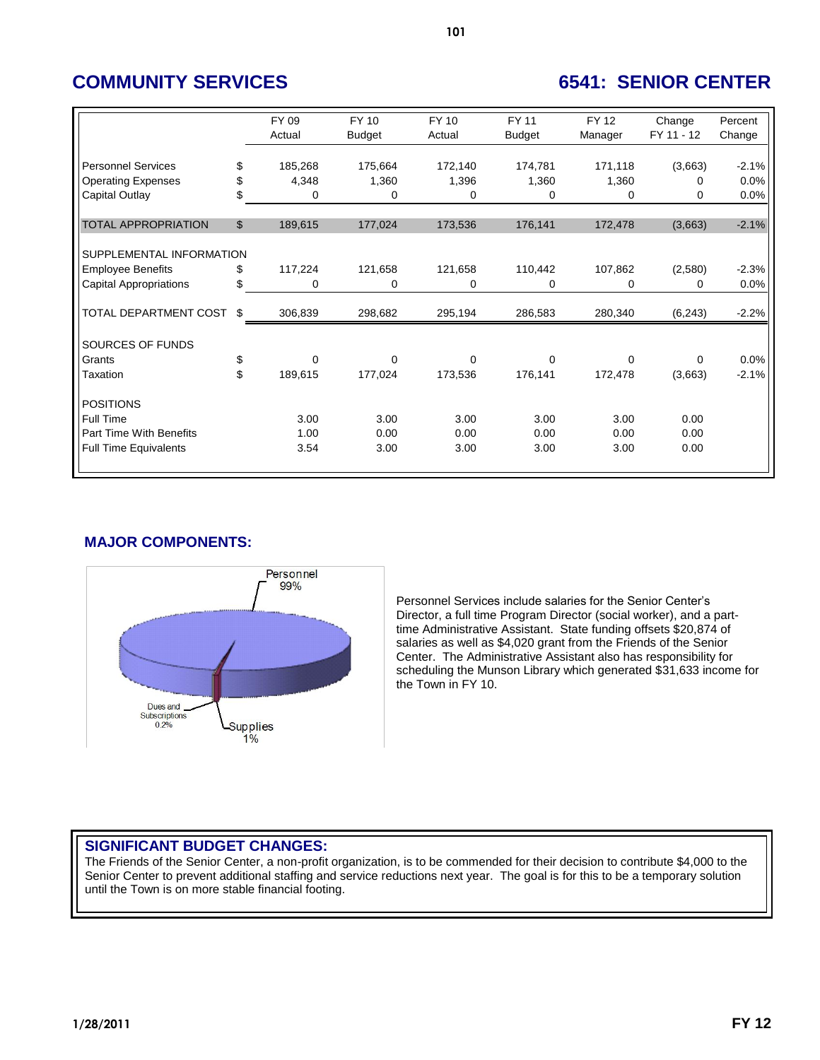# **COMMUNITY SERVICES 6541: SENIOR CENTER**

|                                |                | FY 09<br>Actual | FY 10<br><b>Budget</b> | FY 10<br>Actual | FY 11<br><b>Budget</b> | FY 12<br>Manager | Change<br>FY 11 - 12 | Percent<br>Change |
|--------------------------------|----------------|-----------------|------------------------|-----------------|------------------------|------------------|----------------------|-------------------|
|                                |                |                 |                        |                 |                        |                  |                      |                   |
| <b>Personnel Services</b>      | \$             | 185,268         | 175,664                | 172,140         | 174,781                | 171,118          | (3,663)              | $-2.1%$           |
| <b>Operating Expenses</b>      | \$             | 4,348           | 1,360                  | 1,396           | 1,360                  | 1,360            | 0                    | 0.0%              |
| Capital Outlay                 | \$             | 0               | 0                      | 0               | 0                      | 0                | 0                    | 0.0%              |
|                                |                |                 |                        |                 |                        |                  |                      |                   |
| <b>TOTAL APPROPRIATION</b>     | $\mathfrak{L}$ | 189,615         | 177,024                | 173,536         | 176,141                | 172,478          | (3,663)              | $-2.1%$           |
|                                |                |                 |                        |                 |                        |                  |                      |                   |
| SUPPLEMENTAL INFORMATION       |                |                 |                        |                 |                        |                  |                      |                   |
| <b>Employee Benefits</b>       | \$             | 117,224         | 121,658                | 121,658         | 110,442                | 107,862          | (2,580)              | $-2.3%$           |
| <b>Capital Appropriations</b>  | \$             | 0               | 0                      | 0               | 0                      | 0                | 0                    | 0.0%              |
|                                |                |                 |                        |                 |                        |                  |                      |                   |
| TOTAL DEPARTMENT COST          | \$             | 306,839         | 298,682                | 295,194         | 286,583                | 280,340          | (6, 243)             | $-2.2%$           |
|                                |                |                 |                        |                 |                        |                  |                      |                   |
| SOURCES OF FUNDS               |                |                 |                        |                 |                        |                  |                      |                   |
| Grants                         | \$             | $\Omega$        | $\Omega$               | 0               | 0                      | $\Omega$         | 0                    | 0.0%              |
| Taxation                       | \$             | 189,615         | 177,024                | 173,536         | 176,141                | 172,478          | (3,663)              | $-2.1%$           |
|                                |                |                 |                        |                 |                        |                  |                      |                   |
| <b>POSITIONS</b>               |                |                 |                        |                 |                        |                  |                      |                   |
| <b>Full Time</b>               |                | 3.00            | 3.00                   | 3.00            | 3.00                   | 3.00             | 0.00                 |                   |
| <b>Part Time With Benefits</b> |                | 1.00            | 0.00                   | 0.00            | 0.00                   | 0.00             | 0.00                 |                   |
| <b>Full Time Equivalents</b>   |                | 3.54            | 3.00                   | 3.00            | 3.00                   | 3.00             | 0.00                 |                   |
|                                |                |                 |                        |                 |                        |                  |                      |                   |

## **MAJOR COMPONENTS:**



Personnel Services include salaries for the Senior Center's Director, a full time Program Director (social worker), and a parttime Administrative Assistant. State funding offsets \$20,874 of salaries as well as \$4,020 grant from the Friends of the Senior Center. The Administrative Assistant also has responsibility for scheduling the Munson Library which generated \$31,633 income for the Town in FY 10.

### **SIGNIFICANT BUDGET CHANGES:**

The Friends of the Senior Center, a non-profit organization, is to be commended for their decision to contribute \$4,000 to the Senior Center to prevent additional staffing and service reductions next year. The goal is for this to be a temporary solution until the Town is on more stable financial footing.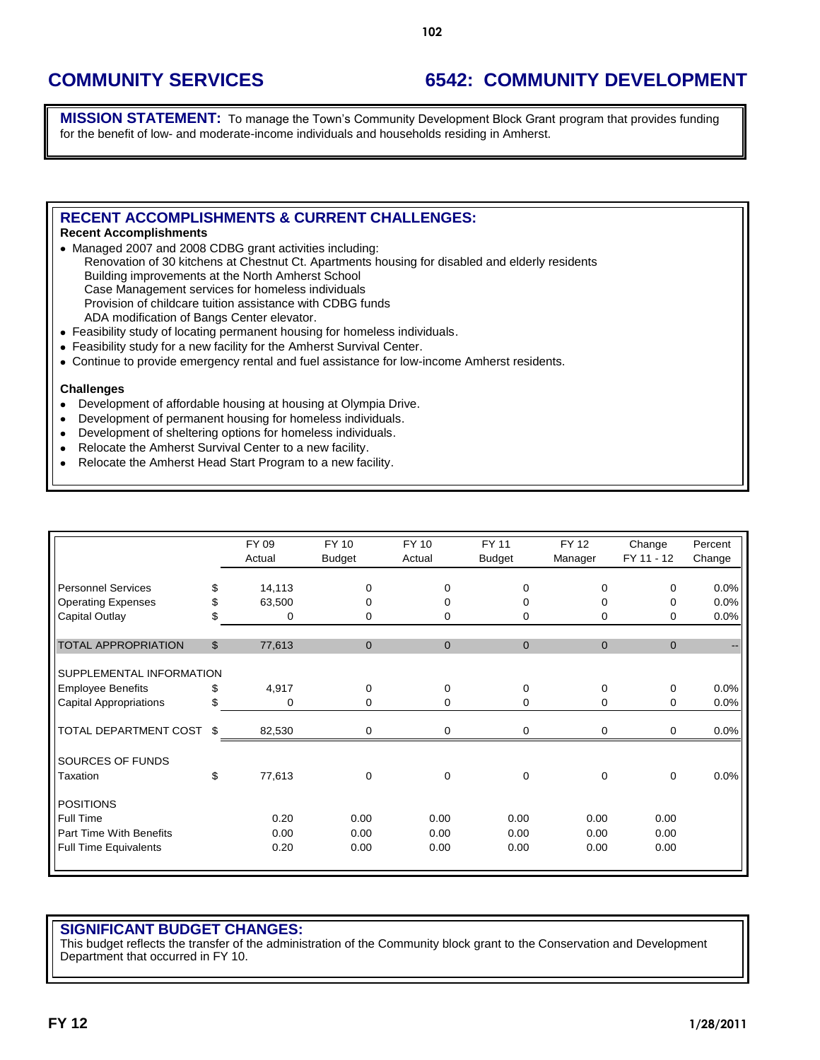## **COMMUNITY SERVICES 6542: COMMUNITY DEVELOPMENT**

**MISSION STATEMENT:** To manage the Town's Community Development Block Grant program that provides funding for the benefit of low- and moderate-income individuals and households residing in Amherst.

### **RECENT ACCOMPLISHMENTS & CURRENT CHALLENGES:**

#### **Recent Accomplishments**

- Managed 2007 and 2008 CDBG grant activities including:
- Renovation of 30 kitchens at Chestnut Ct. Apartments housing for disabled and elderly residents Building improvements at the North Amherst School Case Management services for homeless individuals
- Provision of childcare tuition assistance with CDBG funds
- ADA modification of Bangs Center elevator.
- Feasibility study of locating permanent housing for homeless individuals.
- Feasibility study for a new facility for the Amherst Survival Center.
- Continue to provide emergency rental and fuel assistance for low-income Amherst residents.

#### **Challenges**

- Development of affordable housing at housing at Olympia Drive.  $\bullet$
- Development of permanent housing for homeless individuals.  $\bullet$
- Development of sheltering options for homeless individuals.  $\bullet$
- Relocate the Amherst Survival Center to a new facility.
- Relocate the Amherst Head Start Program to a new facility.  $\bullet$

|                               |                | FY 09<br>Actual | FY 10<br><b>Budget</b> | FY 10<br>Actual | <b>FY 11</b><br><b>Budget</b> | <b>FY 12</b><br>Manager | Change<br>FY 11 - 12 | Percent<br>Change |
|-------------------------------|----------------|-----------------|------------------------|-----------------|-------------------------------|-------------------------|----------------------|-------------------|
| <b>Personnel Services</b>     | \$             | 14,113          | 0                      | $\mathbf 0$     | $\mathbf 0$                   | $\Omega$                | $\Omega$             | 0.0%              |
| <b>Operating Expenses</b>     | \$             | 63,500          | 0                      | 0               | $\Omega$                      | $\Omega$                | $\Omega$             | 0.0%              |
| Capital Outlay                |                | 0               | 0                      | 0               | 0                             | 0                       | $\Omega$             | 0.0%              |
| <b>TOTAL APPROPRIATION</b>    | $\mathfrak{L}$ | 77,613          | $\mathbf 0$            | $\mathbf{0}$    | $\mathbf{0}$                  | $\mathbf{0}$            | $\mathbf{0}$         |                   |
| SUPPLEMENTAL INFORMATION      |                |                 |                        |                 |                               |                         |                      |                   |
| <b>Employee Benefits</b>      | \$             | 4,917           | 0                      | $\mathbf 0$     | $\mathbf 0$                   | $\mathbf 0$             | $\mathbf 0$          | 0.0%              |
| <b>Capital Appropriations</b> |                | 0               | 0                      | 0               | 0                             | 0                       | $\Omega$             | 0.0%              |
| TOTAL DEPARTMENT COST         | \$             | 82,530          | 0                      | 0               | 0                             | 0                       | $\mathbf 0$          | 0.0%              |
| SOURCES OF FUNDS              |                |                 |                        |                 |                               |                         |                      |                   |
| Taxation                      | \$             | 77,613          | 0                      | $\mathbf 0$     | $\mathbf 0$                   | $\mathbf 0$             | $\mathbf 0$          | 0.0%              |
| <b>POSITIONS</b>              |                |                 |                        |                 |                               |                         |                      |                   |
| Full Time                     |                | 0.20            | 0.00                   | 0.00            | 0.00                          | 0.00                    | 0.00                 |                   |
| Part Time With Benefits       |                | 0.00            | 0.00                   | 0.00            | 0.00                          | 0.00                    | 0.00                 |                   |
| <b>Full Time Equivalents</b>  |                | 0.20            | 0.00                   | 0.00            | 0.00                          | 0.00                    | 0.00                 |                   |
|                               |                |                 |                        |                 |                               |                         |                      |                   |

#### **SIGNIFICANT BUDGET CHANGES:**

This budget reflects the transfer of the administration of the Community block grant to the Conservation and Development Department that occurred in FY 10.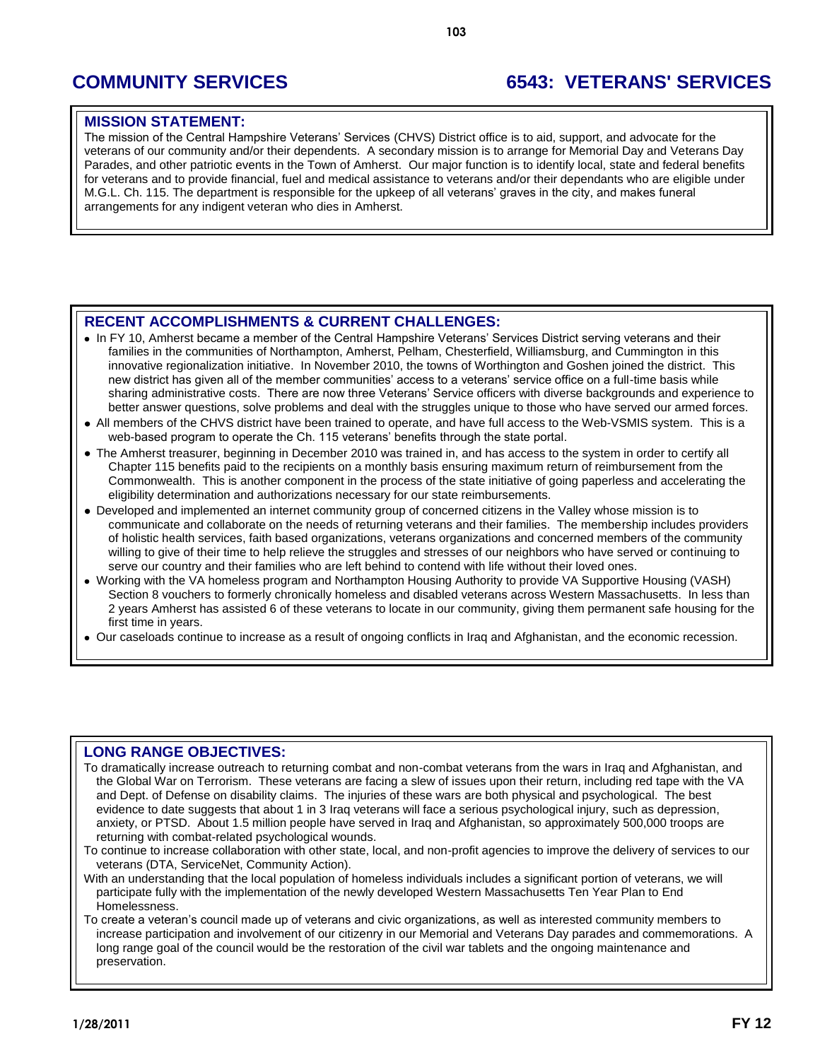# **COMMUNITY SERVICES 6543: VETERANS' SERVICES**

### **MISSION STATEMENT:**

The mission of the Central Hampshire Veterans' Services (CHVS) District office is to aid, support, and advocate for the veterans of our community and/or their dependents. A secondary mission is to arrange for Memorial Day and Veterans Day Parades, and other patriotic events in the Town of Amherst. Our major function is to identify local, state and federal benefits for veterans and to provide financial, fuel and medical assistance to veterans and/or their dependants who are eligible under M.G.L. Ch. 115. The department is responsible for the upkeep of all veterans' graves in the city, and makes funeral arrangements for any indigent veteran who dies in Amherst.

## **RECENT ACCOMPLISHMENTS & CURRENT CHALLENGES:**

- In FY 10, Amherst became a member of the Central Hampshire Veterans' Services District serving veterans and their families in the communities of Northampton, Amherst, Pelham, Chesterfield, Williamsburg, and Cummington in this innovative regionalization initiative. In November 2010, the towns of Worthington and Goshen joined the district. This new district has given all of the member communities' access to a veterans' service office on a full-time basis while sharing administrative costs. There are now three Veterans' Service officers with diverse backgrounds and experience to better answer questions, solve problems and deal with the struggles unique to those who have served our armed forces.
- All members of the CHVS district have been trained to operate, and have full access to the Web-VSMIS system. This is a web-based program to operate the Ch. 115 veterans' benefits through the state portal.
- The Amherst treasurer, beginning in December 2010 was trained in, and has access to the system in order to certify all Chapter 115 benefits paid to the recipients on a monthly basis ensuring maximum return of reimbursement from the Commonwealth. This is another component in the process of the state initiative of going paperless and accelerating the eligibility determination and authorizations necessary for our state reimbursements.
- Developed and implemented an internet community group of concerned citizens in the Valley whose mission is to communicate and collaborate on the needs of returning veterans and their families. The membership includes providers of holistic health services, faith based organizations, veterans organizations and concerned members of the community willing to give of their time to help relieve the struggles and stresses of our neighbors who have served or continuing to serve our country and their families who are left behind to contend with life without their loved ones.
- Working with the VA homeless program and Northampton Housing Authority to provide VA Supportive Housing (VASH) Section 8 vouchers to formerly chronically homeless and disabled veterans across Western Massachusetts. In less than 2 years Amherst has assisted 6 of these veterans to locate in our community, giving them permanent safe housing for the first time in years.
- Our caseloads continue to increase as a result of ongoing conflicts in Iraq and Afghanistan, and the economic recession.

### **LONG RANGE OBJECTIVES:**

To dramatically increase outreach to returning combat and non-combat veterans from the wars in Iraq and Afghanistan, and the Global War on Terrorism. These veterans are facing a slew of issues upon their return, including red tape with the VA and Dept. of Defense on disability claims. The injuries of these wars are both physical and psychological. The best evidence to date suggests that about 1 in 3 Iraq veterans will face a serious psychological injury, such as depression, anxiety, or PTSD. About 1.5 million people have served in Iraq and Afghanistan, so approximately 500,000 troops are returning with combat-related psychological wounds.

To continue to increase collaboration with other state, local, and non-profit agencies to improve the delivery of services to our veterans (DTA, ServiceNet, Community Action).

With an understanding that the local population of homeless individuals includes a significant portion of veterans, we will participate fully with the implementation of the newly developed Western Massachusetts Ten Year Plan to End Homelessness.

To create a veteran's council made up of veterans and civic organizations, as well as interested community members to increase participation and involvement of our citizenry in our Memorial and Veterans Day parades and commemorations. A long range goal of the council would be the restoration of the civil war tablets and the ongoing maintenance and preservation.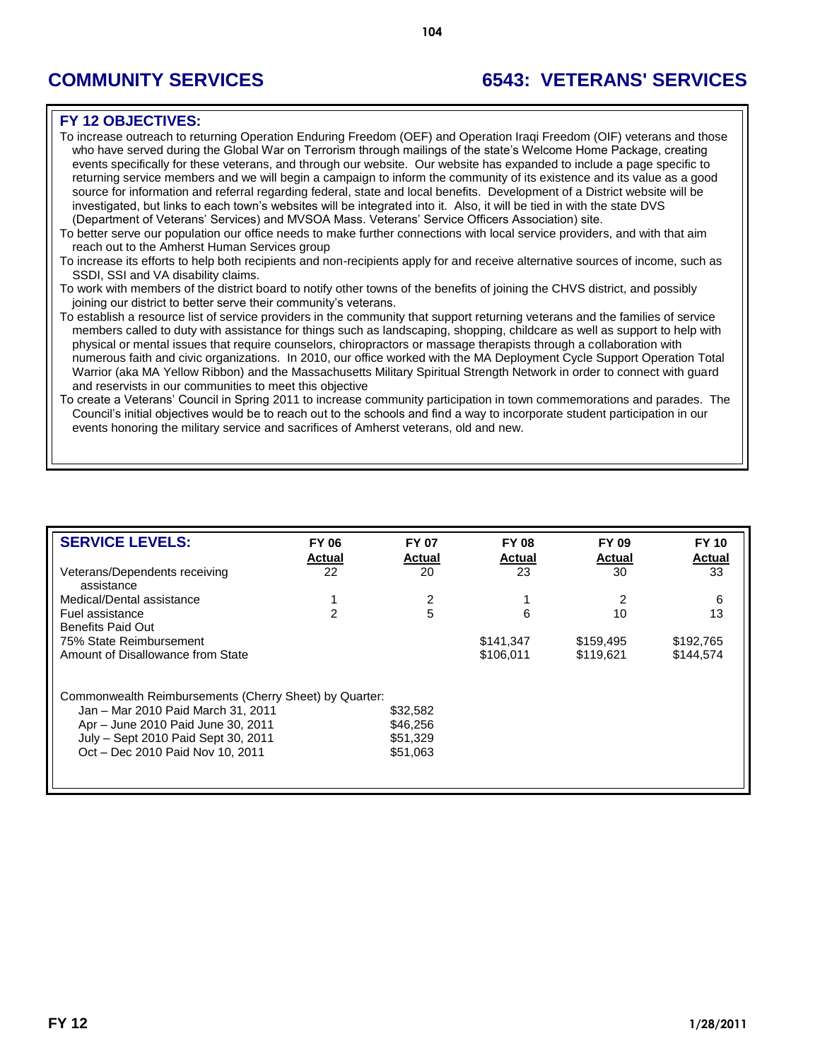# **COMMUNITY SERVICES 6543: VETERANS' SERVICES**

### **FY 12 OBJECTIVES:**

To increase outreach to returning Operation Enduring Freedom (OEF) and Operation Iraqi Freedom (OIF) veterans and those who have served during the Global War on Terrorism through mailings of the state's Welcome Home Package, creating events specifically for these veterans, and through our website. Our website has expanded to include a page specific to returning service members and we will begin a campaign to inform the community of its existence and its value as a good source for information and referral regarding federal, state and local benefits. Development of a District website will be investigated, but links to each town's websites will be integrated into it. Also, it will be tied in with the state DVS (Department of Veterans' Services) and MVSOA Mass. Veterans' Service Officers Association) site.

- To better serve our population our office needs to make further connections with local service providers, and with that aim reach out to the Amherst Human Services group
- To increase its efforts to help both recipients and non-recipients apply for and receive alternative sources of income, such as SSDI, SSI and VA disability claims.
- To work with members of the district board to notify other towns of the benefits of joining the CHVS district, and possibly joining our district to better serve their community's veterans.
- To establish a resource list of service providers in the community that support returning veterans and the families of service members called to duty with assistance for things such as landscaping, shopping, childcare as well as support to help with physical or mental issues that require counselors, chiropractors or massage therapists through a collaboration with numerous faith and civic organizations. In 2010, our office worked with the MA Deployment Cycle Support Operation Total Warrior (aka MA Yellow Ribbon) and the Massachusetts Military Spiritual Strength Network in order to connect with guard and reservists in our communities to meet this objective
- To create a Veterans' Council in Spring 2011 to increase community participation in town commemorations and parades. The Council's initial objectives would be to reach out to the schools and find a way to incorporate student participation in our events honoring the military service and sacrifices of Amherst veterans, old and new.

| <b>SERVICE LEVELS:</b>                                 | <b>FY 06</b><br><b>Actual</b> | <b>FY 07</b><br><b>Actual</b> | <b>FY 08</b><br><b>Actual</b> | <b>FY 09</b><br>Actual | <b>FY 10</b><br><b>Actual</b> |
|--------------------------------------------------------|-------------------------------|-------------------------------|-------------------------------|------------------------|-------------------------------|
| Veterans/Dependents receiving<br>assistance            | 22                            | 20                            | 23                            | 30                     | 33                            |
| Medical/Dental assistance                              |                               | 2                             |                               |                        | 6                             |
| Fuel assistance<br><b>Benefits Paid Out</b>            | 2                             | 5                             | 6                             | 10                     | 13                            |
| 75% State Reimbursement                                |                               |                               | \$141,347                     | \$159,495              | \$192,765                     |
| Amount of Disallowance from State                      |                               |                               | \$106.011                     | \$119.621              | \$144.574                     |
| Commonwealth Reimbursements (Cherry Sheet) by Quarter: |                               |                               |                               |                        |                               |
| Jan - Mar 2010 Paid March 31, 2011                     |                               | \$32,582                      |                               |                        |                               |
| Apr - June 2010 Paid June 30, 2011                     |                               | \$46,256                      |                               |                        |                               |
| July - Sept 2010 Paid Sept 30, 2011                    |                               | \$51,329                      |                               |                        |                               |
| Oct - Dec 2010 Paid Nov 10, 2011                       |                               | \$51,063                      |                               |                        |                               |
|                                                        |                               |                               |                               |                        |                               |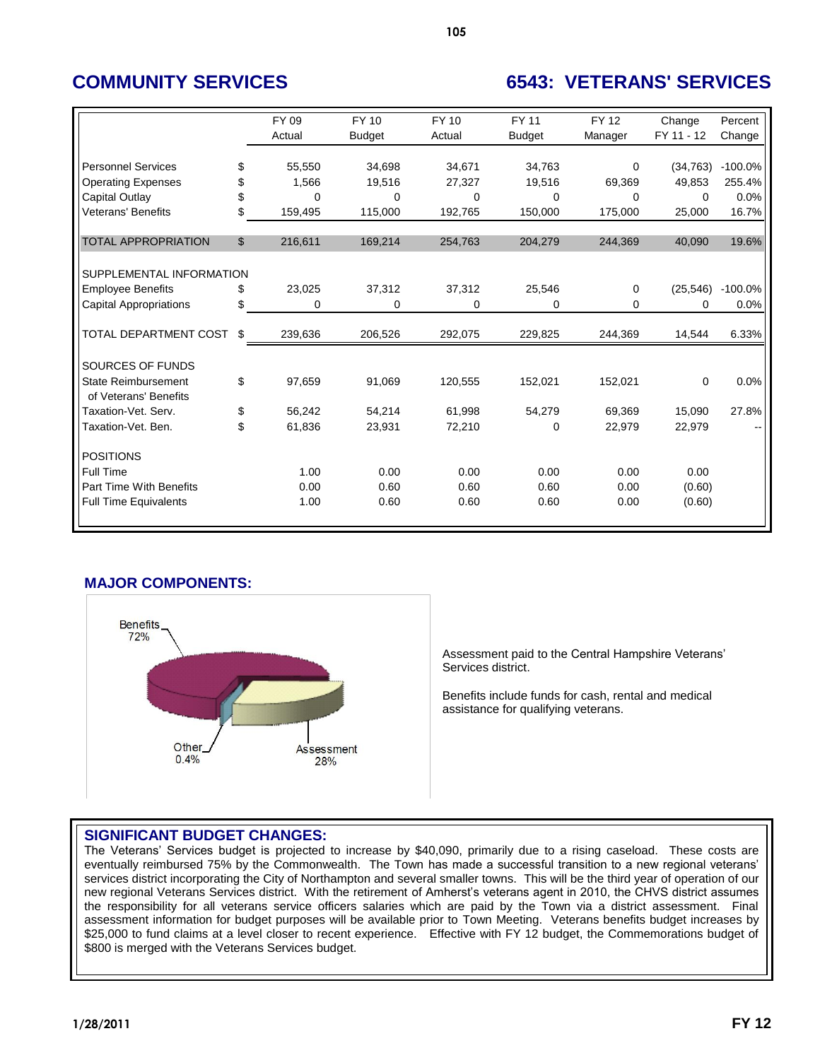# **COMMUNITY SERVICES 6543: VETERANS' SERVICES**

|                                | FY 09         | <b>FY 10</b>  | <b>FY 10</b> | <b>FY 11</b>  | <b>FY 12</b> | Change     | Percent   |
|--------------------------------|---------------|---------------|--------------|---------------|--------------|------------|-----------|
|                                | Actual        | <b>Budget</b> | Actual       | <b>Budget</b> | Manager      | FY 11 - 12 | Change    |
|                                |               |               |              |               |              |            |           |
| <b>Personnel Services</b>      | \$<br>55,550  | 34,698        | 34,671       | 34,763        | 0            | (34, 763)  | $-100.0%$ |
| <b>Operating Expenses</b>      | \$<br>1,566   | 19,516        | 27,327       | 19,516        | 69,369       | 49,853     | 255.4%    |
| Capital Outlay                 | \$<br>0       | $\Omega$      | $\Omega$     | 0             | 0            | 0          | 0.0%      |
| <b>Veterans' Benefits</b>      | \$<br>159,495 | 115,000       | 192,765      | 150,000       | 175,000      | 25,000     | 16.7%     |
|                                |               |               |              |               |              |            |           |
| <b>TOTAL APPROPRIATION</b>     | \$<br>216,611 | 169,214       | 254,763      | 204,279       | 244,369      | 40,090     | 19.6%     |
|                                |               |               |              |               |              |            |           |
| SUPPLEMENTAL INFORMATION       |               |               |              |               |              |            |           |
| <b>Employee Benefits</b>       | \$<br>23,025  | 37,312        | 37,312       | 25,546        | 0            | (25, 546)  | $-100.0%$ |
| <b>Capital Appropriations</b>  | \$<br>0       | 0             | 0            | 0             | 0            | $\Omega$   | 0.0%      |
|                                |               |               |              |               |              |            |           |
| <b>TOTAL DEPARTMENT COST</b>   | \$<br>239,636 | 206,526       | 292,075      | 229,825       | 244,369      | 14,544     | 6.33%     |
|                                |               |               |              |               |              |            |           |
| SOURCES OF FUNDS               |               |               |              |               |              |            |           |
| <b>State Reimbursement</b>     | \$<br>97,659  | 91,069        | 120,555      | 152,021       | 152,021      | 0          | 0.0%      |
| of Veterans' Benefits          |               |               |              |               |              |            |           |
| Taxation-Vet. Serv.            | \$<br>56,242  | 54,214        | 61,998       | 54,279        | 69,369       | 15,090     | 27.8%     |
| Taxation-Vet, Ben.             | \$<br>61,836  | 23,931        | 72,210       | 0             | 22,979       | 22,979     |           |
|                                |               |               |              |               |              |            |           |
| <b>POSITIONS</b>               |               |               |              |               |              |            |           |
| <b>Full Time</b>               | 1.00          | 0.00          | 0.00         | 0.00          | 0.00         | 0.00       |           |
| <b>Part Time With Benefits</b> | 0.00          | 0.60          | 0.60         | 0.60          | 0.00         | (0.60)     |           |
| <b>Full Time Equivalents</b>   | 1.00          | 0.60          | 0.60         | 0.60          | 0.00         | (0.60)     |           |
|                                |               |               |              |               |              |            |           |

## **MAJOR COMPONENTS:**



Assessment paid to the Central Hampshire Veterans' Services district.

Benefits include funds for cash, rental and medical assistance for qualifying veterans.

### **SIGNIFICANT BUDGET CHANGES:**

The Veterans' Services budget is projected to increase by \$40,090, primarily due to a rising caseload. These costs are eventually reimbursed 75% by the Commonwealth. The Town has made a successful transition to a new regional veterans' services district incorporating the City of Northampton and several smaller towns. This will be the third year of operation of our new regional Veterans Services district. With the retirement of Amherst's veterans agent in 2010, the CHVS district assumes the responsibility for all veterans service officers salaries which are paid by the Town via a district assessment. Final assessment information for budget purposes will be available prior to Town Meeting. Veterans benefits budget increases by \$25,000 to fund claims at a level closer to recent experience. Effective with FY 12 budget, the Commemorations budget of \$800 is merged with the Veterans Services budget.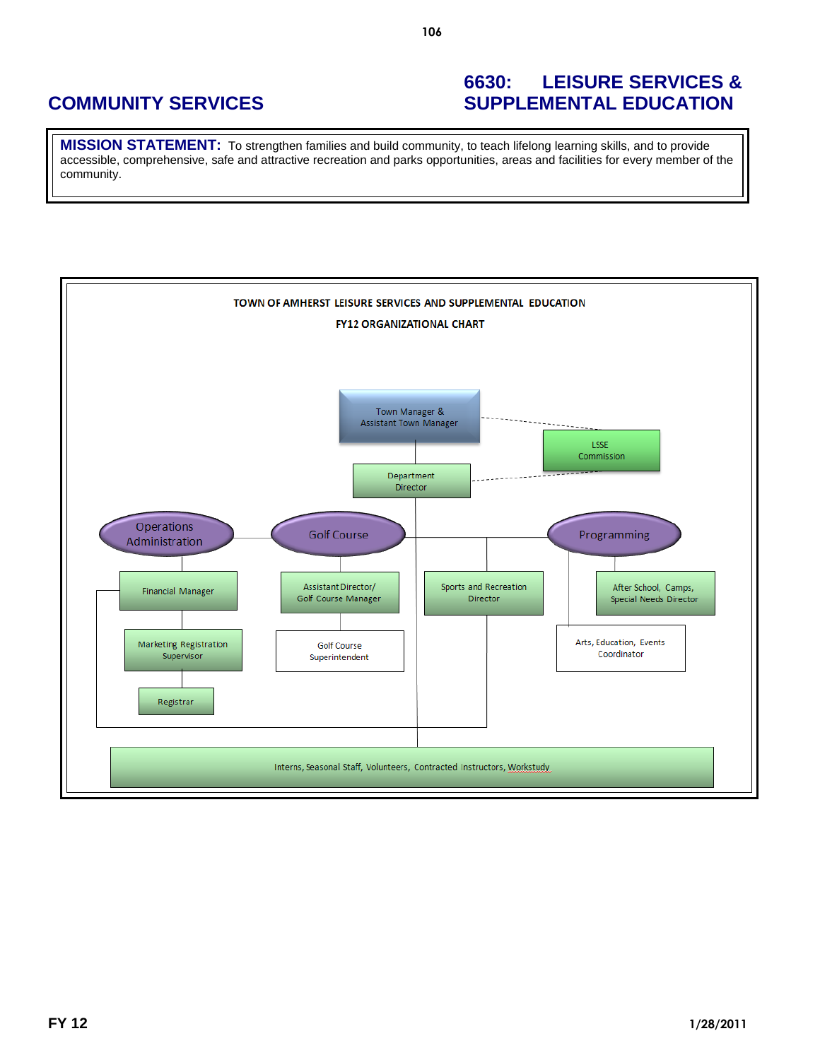## **6630: LEISURE SERVICES & COMMUNITY SERVICES SUPPLEMENTAL EDUCATION**

**MISSION STATEMENT:** To strengthen families and build community, to teach lifelong learning skills, and to provide accessible, comprehensive, safe and attractive recreation and parks opportunities, areas and facilities for every member of the community.

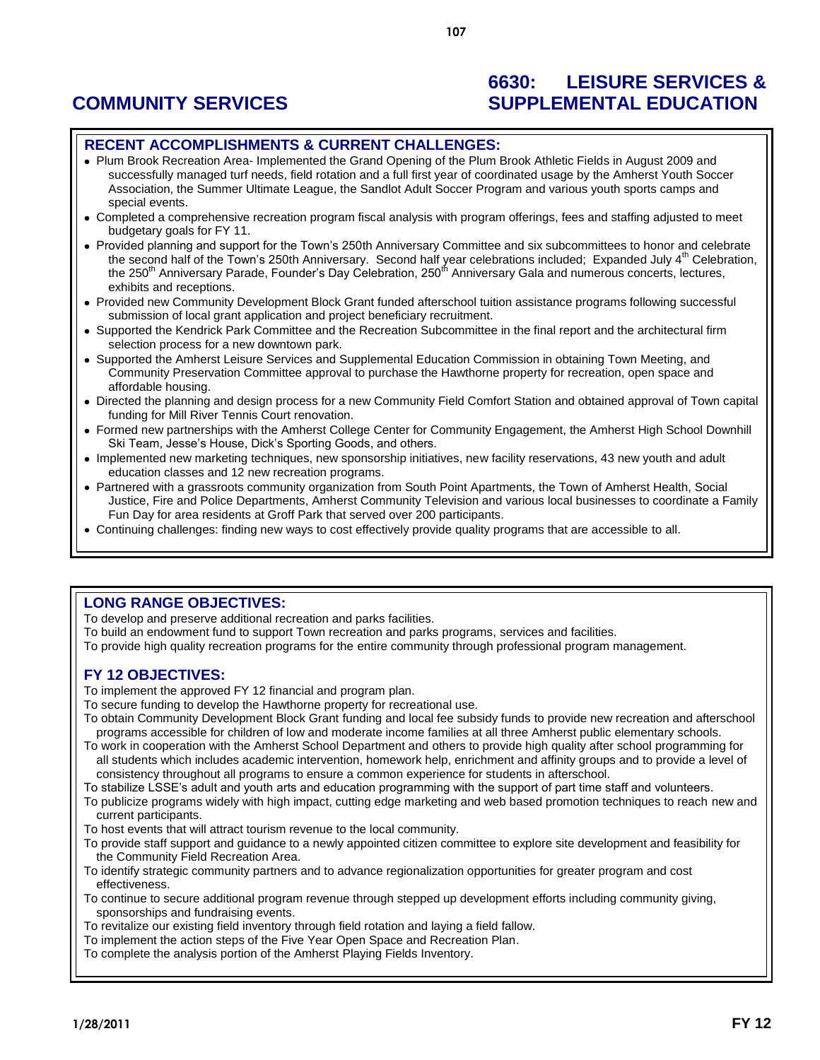## **6630: LEISURE SERVICES & COMMUNITY SERVICES SUPPLEMENTAL EDUCATION**

#### **RECENT ACCOMPLISHMENTS & CURRENT CHALLENGES:**

- Plum Brook Recreation Area- Implemented the Grand Opening of the Plum Brook Athletic Fields in August 2009 and successfully managed turf needs, field rotation and a full first year of coordinated usage by the Amherst Youth Soccer Association, the Summer Ultimate League, the Sandlot Adult Soccer Program and various youth sports camps and special events.
- Completed a comprehensive recreation program fiscal analysis with program offerings, fees and staffing adjusted to meet budgetary goals for FY 11.
- Provided planning and support for the Town's 250th Anniversary Committee and six subcommittees to honor and celebrate the second half of the Town's 250th Anniversary. Second half year celebrations included; Expanded July 4<sup>th</sup> Celebration, the 250<sup>th</sup> Anniversary Parade, Founder's Day Celebration, 250<sup>th</sup> Anniversary Gala and numerous concerts, lectures, exhibits and receptions.
- Provided new Community Development Block Grant funded afterschool tuition assistance programs following successful submission of local grant application and project beneficiary recruitment.
- Supported the Kendrick Park Committee and the Recreation Subcommittee in the final report and the architectural firm selection process for a new downtown park.
- Supported the Amherst Leisure Services and Supplemental Education Commission in obtaining Town Meeting, and Community Preservation Committee approval to purchase the Hawthorne property for recreation, open space and affordable housing.
- Directed the planning and design process for a new Community Field Comfort Station and obtained approval of Town capital funding for Mill River Tennis Court renovation.
- Formed new partnerships with the Amherst College Center for Community Engagement, the Amherst High School Downhill Ski Team, Jesse's House, Dick's Sporting Goods, and others.
- Implemented new marketing techniques, new sponsorship initiatives, new facility reservations, 43 new youth and adult education classes and 12 new recreation programs.
- Partnered with a grassroots community organization from South Point Apartments, the Town of Amherst Health, Social Justice, Fire and Police Departments, Amherst Community Television and various local businesses to coordinate a Family Fun Day for area residents at Groff Park that served over 200 participants.
- Continuing challenges: finding new ways to cost effectively provide quality programs that are accessible to all.

### **LONG RANGE OBJECTIVES:**

To develop and preserve additional recreation and parks facilities.

- To build an endowment fund to support Town recreation and parks programs, services and facilities.
- To provide high quality recreation programs for the entire community through professional program management.

### **FY 12 OBJECTIVES:**

To implement the approved FY 12 financial and program plan.

- To secure funding to develop the Hawthorne property for recreational use.
- To obtain Community Development Block Grant funding and local fee subsidy funds to provide new recreation and afterschool programs accessible for children of low and moderate income families at all three Amherst public elementary schools.
- To work in cooperation with the Amherst School Department and others to provide high quality after school programming for all students which includes academic intervention, homework help, enrichment and affinity groups and to provide a level of consistency throughout all programs to ensure a common experience for students in afterschool.
- To stabilize LSSE's adult and youth arts and education programming with the support of part time staff and volunteers.
- To publicize programs widely with high impact, cutting edge marketing and web based promotion techniques to reach new and current participants.
- To host events that will attract tourism revenue to the local community.
- To provide staff support and guidance to a newly appointed citizen committee to explore site development and feasibility for the Community Field Recreation Area.
- To identify strategic community partners and to advance regionalization opportunities for greater program and cost effectiveness.
- To continue to secure additional program revenue through stepped up development efforts including community giving, sponsorships and fundraising events.
- To revitalize our existing field inventory through field rotation and laying a field fallow.
- To implement the action steps of the Five Year Open Space and Recreation Plan.
- To complete the analysis portion of the Amherst Playing Fields Inventory.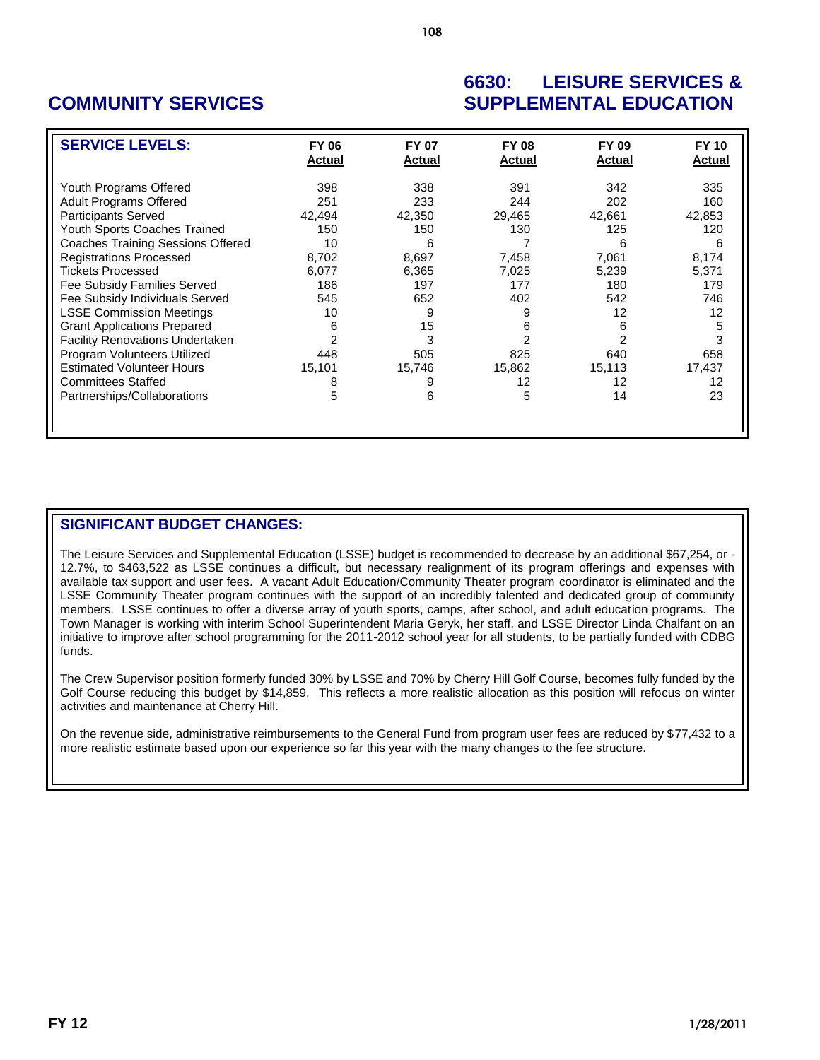## **6630: LEISURE SERVICES & COMMUNITY SERVICES SUPPLEMENTAL EDUCATION**

| <b>SERVICE LEVELS:</b>                   | <b>FY 06</b><br><b>Actual</b> | <b>FY 07</b><br><b>Actual</b> | <b>FY 08</b><br><b>Actual</b> | FY 09<br><b>Actual</b> | <b>FY 10</b><br><b>Actual</b> |
|------------------------------------------|-------------------------------|-------------------------------|-------------------------------|------------------------|-------------------------------|
| Youth Programs Offered                   | 398                           | 338                           | 391                           | 342                    | 335                           |
| <b>Adult Programs Offered</b>            | 251                           | 233                           | 244                           | 202                    | 160                           |
| <b>Participants Served</b>               | 42,494                        | 42,350                        | 29,465                        | 42,661                 | 42,853                        |
| Youth Sports Coaches Trained             | 150                           | 150                           | 130                           | 125                    | 120                           |
| <b>Coaches Training Sessions Offered</b> | 10                            | 6                             |                               | 6                      | 6                             |
| <b>Registrations Processed</b>           | 8.702                         | 8,697                         | 7,458                         | 7.061                  | 8,174                         |
| <b>Tickets Processed</b>                 | 6,077                         | 6,365                         | 7,025                         | 5,239                  | 5,371                         |
| Fee Subsidy Families Served              | 186                           | 197                           | 177                           | 180                    | 179                           |
| Fee Subsidy Individuals Served           | 545                           | 652                           | 402                           | 542                    | 746                           |
| <b>LSSE Commission Meetings</b>          | 10                            | 9                             | 9                             | 12                     | 12                            |
| <b>Grant Applications Prepared</b>       | 6                             | 15                            | 6                             | 6                      | 5                             |
| <b>Facility Renovations Undertaken</b>   | 2                             | 3                             | 2                             |                        | 3                             |
| Program Volunteers Utilized              | 448                           | 505                           | 825                           | 640                    | 658                           |
| <b>Estimated Volunteer Hours</b>         | 15,101                        | 15,746                        | 15,862                        | 15,113                 | 17,437                        |
| <b>Committees Staffed</b>                | 8                             | 9                             | 12                            | 12                     | 12                            |
| Partnerships/Collaborations              | 5                             | 6                             | 5                             | 14                     | 23                            |
|                                          |                               |                               |                               |                        |                               |

## **SIGNIFICANT BUDGET CHANGES:**

The Leisure Services and Supplemental Education (LSSE) budget is recommended to decrease by an additional \$67,254, or - 12.7%, to \$463,522 as LSSE continues a difficult, but necessary realignment of its program offerings and expenses with available tax support and user fees. A vacant Adult Education/Community Theater program coordinator is eliminated and the LSSE Community Theater program continues with the support of an incredibly talented and dedicated group of community members. LSSE continues to offer a diverse array of youth sports, camps, after school, and adult education programs. The Town Manager is working with interim School Superintendent Maria Geryk, her staff, and LSSE Director Linda Chalfant on an initiative to improve after school programming for the 2011-2012 school year for all students, to be partially funded with CDBG funds.

The Crew Supervisor position formerly funded 30% by LSSE and 70% by Cherry Hill Golf Course, becomes fully funded by the Golf Course reducing this budget by \$14,859. This reflects a more realistic allocation as this position will refocus on winter activities and maintenance at Cherry Hill.

On the revenue side, administrative reimbursements to the General Fund from program user fees are reduced by \$77,432 to a more realistic estimate based upon our experience so far this year with the many changes to the fee structure.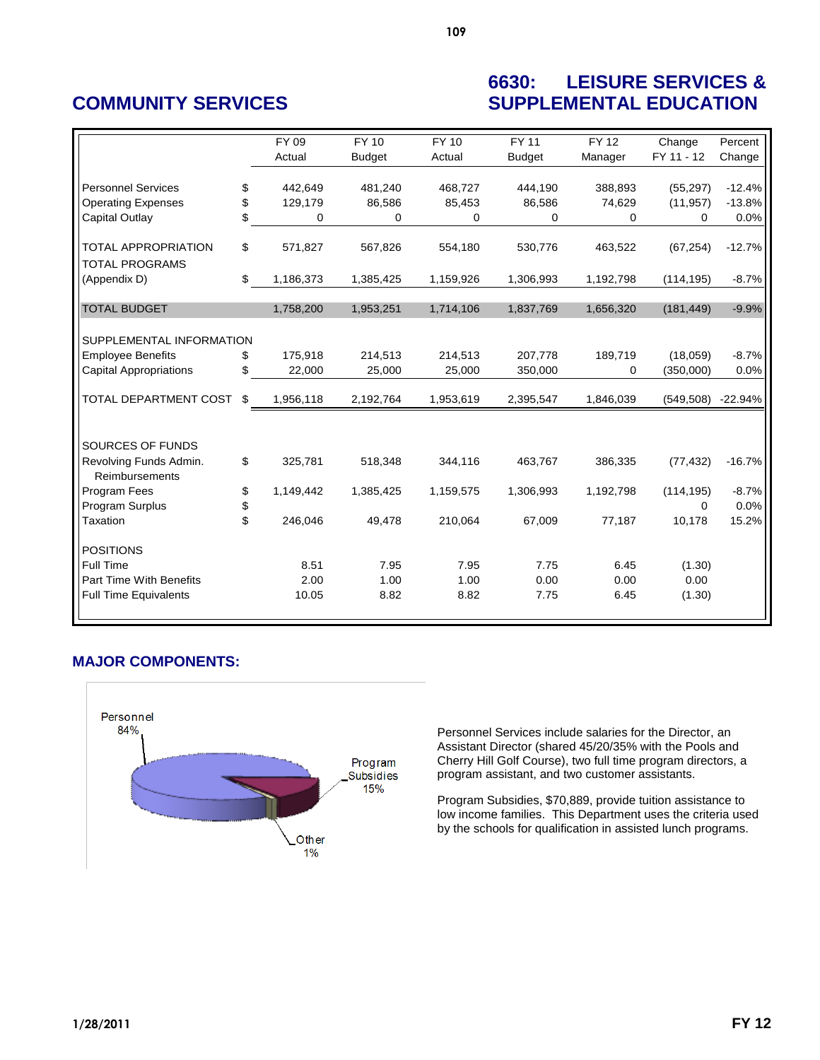## **6630: LEISURE SERVICES & COMMUNITY SERVICES SUPPLEMENTAL EDUCATION**

|                               |          | FY 09     | <b>FY 10</b>  | <b>FY 10</b> | FY 11         | <b>FY 12</b> | Change     | Percent   |
|-------------------------------|----------|-----------|---------------|--------------|---------------|--------------|------------|-----------|
|                               |          | Actual    | <b>Budget</b> | Actual       | <b>Budget</b> | Manager      | FY 11 - 12 | Change    |
|                               |          |           |               |              |               |              |            |           |
| <b>Personnel Services</b>     | \$       | 442,649   | 481,240       | 468,727      | 444,190       | 388,893      | (55, 297)  | $-12.4%$  |
| <b>Operating Expenses</b>     | \$       | 129,179   | 86,586        | 85,453       | 86,586        | 74,629       | (11, 957)  | $-13.8%$  |
| Capital Outlay                | \$       | 0         | 0             | 0            | 0             | 0            | 0          | 0.0%      |
|                               |          |           |               |              |               |              |            |           |
| <b>TOTAL APPROPRIATION</b>    | \$       | 571,827   | 567,826       | 554,180      | 530,776       | 463,522      | (67, 254)  | $-12.7%$  |
| <b>TOTAL PROGRAMS</b>         |          |           |               |              |               |              |            |           |
| (Appendix D)                  | \$       | 1,186,373 | 1,385,425     | 1,159,926    | 1,306,993     | 1,192,798    | (114, 195) | $-8.7%$   |
| <b>TOTAL BUDGET</b>           |          |           |               | 1,714,106    |               | 1,656,320    |            | $-9.9%$   |
|                               |          | 1,758,200 | 1,953,251     |              | 1,837,769     |              | (181, 449) |           |
| SUPPLEMENTAL INFORMATION      |          |           |               |              |               |              |            |           |
|                               |          | 175,918   | 214,513       | 214,513      | 207,778       |              | (18,059)   | $-8.7%$   |
| <b>Employee Benefits</b>      | \$<br>\$ |           |               |              |               | 189,719      |            |           |
| <b>Capital Appropriations</b> |          | 22,000    | 25,000        | 25,000       | 350,000       | 0            | (350,000)  | 0.0%      |
| TOTAL DEPARTMENT COST         | \$       | 1,956,118 | 2,192,764     | 1,953,619    | 2,395,547     | 1,846,039    | (549, 508) | $-22.94%$ |
|                               |          |           |               |              |               |              |            |           |
| SOURCES OF FUNDS              |          |           |               |              |               |              |            |           |
| Revolving Funds Admin.        | \$       | 325,781   | 518,348       | 344,116      | 463,767       | 386,335      | (77, 432)  | $-16.7%$  |
| Reimbursements                |          |           |               |              |               |              |            |           |
| Program Fees                  | \$       | 1,149,442 | 1,385,425     | 1,159,575    | 1,306,993     | 1,192,798    | (114, 195) | $-8.7%$   |
| Program Surplus               | \$       |           |               |              |               |              | $\Omega$   | 0.0%      |
| Taxation                      | \$       | 246,046   | 49,478        | 210,064      | 67,009        | 77,187       | 10,178     | 15.2%     |
| <b>POSITIONS</b>              |          |           |               |              |               |              |            |           |
| <b>Full Time</b>              |          | 8.51      | 7.95          | 7.95         | 7.75          | 6.45         | (1.30)     |           |
| Part Time With Benefits       |          | 2.00      | 1.00          | 1.00         | 0.00          | 0.00         | 0.00       |           |
| <b>Full Time Equivalents</b>  |          | 10.05     | 8.82          | 8.82         | 7.75          | 6.45         | (1.30)     |           |
|                               |          |           |               |              |               |              |            |           |

### **MAJOR COMPONENTS:**



Personnel Services include salaries for the Director, an Assistant Director (shared 45/20/35% with the Pools and Cherry Hill Golf Course), two full time program directors, a program assistant, and two customer assistants.

Program Subsidies, \$70,889, provide tuition assistance to low income families. This Department uses the criteria used by the schools for qualification in assisted lunch programs.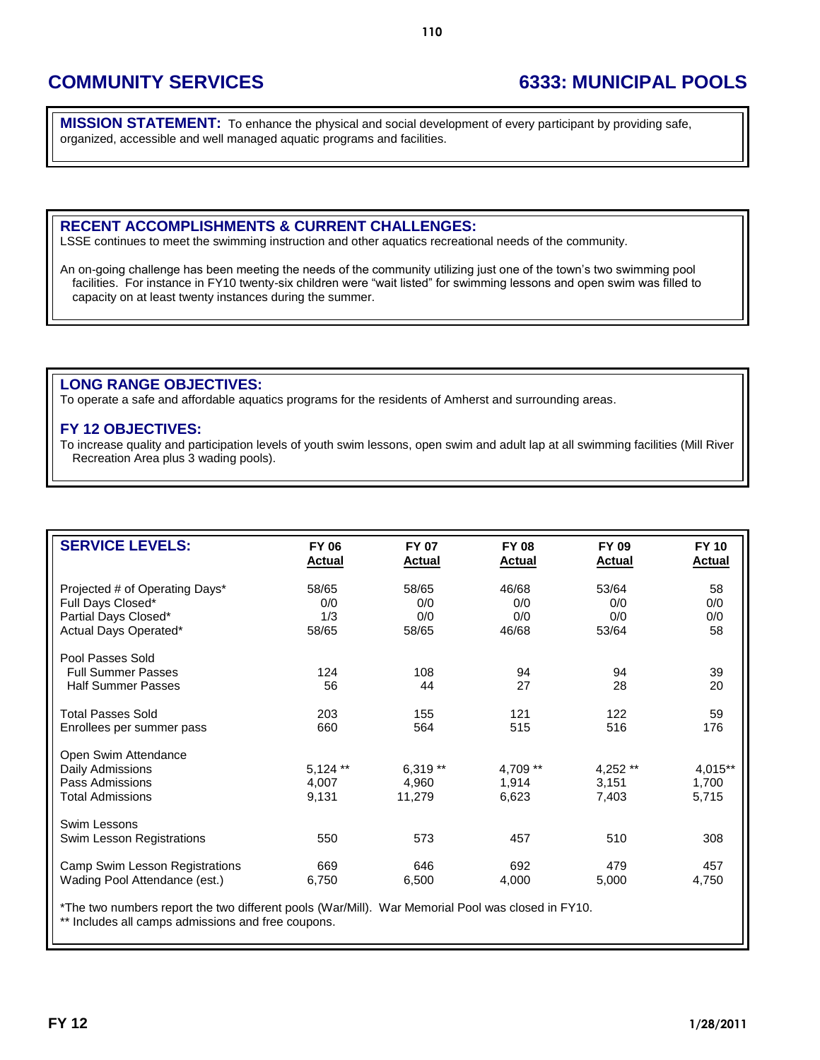# **COMMUNITY SERVICES 6333: MUNICIPAL POOLS**

**MISSION STATEMENT:** To enhance the physical and social development of every participant by providing safe, organized, accessible and well managed aquatic programs and facilities.

#### **RECENT ACCOMPLISHMENTS & CURRENT CHALLENGES:**

LSSE continues to meet the swimming instruction and other aquatics recreational needs of the community.

An on-going challenge has been meeting the needs of the community utilizing just one of the town's two swimming pool facilities. For instance in FY10 twenty-six children were "wait listed" for swimming lessons and open swim was filled to capacity on at least twenty instances during the summer.

### **LONG RANGE OBJECTIVES:**

To operate a safe and affordable aquatics programs for the residents of Amherst and surrounding areas.

#### **FY 12 OBJECTIVES:**

To increase quality and participation levels of youth swim lessons, open swim and adult lap at all swimming facilities (Mill River Recreation Area plus 3 wading pools).

| <b>SERVICE LEVELS:</b>                                                          | <b>FY 06</b>                 | <b>FY 07</b>               | <b>FY 08</b>               | FY 09                       | <b>FY 10</b>              |
|---------------------------------------------------------------------------------|------------------------------|----------------------------|----------------------------|-----------------------------|---------------------------|
|                                                                                 | <b>Actual</b>                | <b>Actual</b>              | <b>Actual</b>              | <b>Actual</b>               | <b>Actual</b>             |
| Projected # of Operating Days*                                                  | 58/65                        | 58/65                      | 46/68                      | 53/64                       | 58                        |
| Full Days Closed*                                                               | 0/0                          | 0/0                        | 0/0                        | 0/0                         | 0/0                       |
| Partial Days Closed*                                                            | 1/3                          | 0/0                        | 0/0                        | 0/0                         | 0/0                       |
| Actual Days Operated*                                                           | 58/65                        | 58/65                      | 46/68                      | 53/64                       | 58                        |
| Pool Passes Sold<br><b>Full Summer Passes</b><br><b>Half Summer Passes</b>      | 124<br>56                    | 108<br>44                  | 94<br>27                   | 94<br>28                    | 39<br>20                  |
| <b>Total Passes Sold</b>                                                        | 203                          | 155                        | 121                        | 122                         | 59                        |
| Enrollees per summer pass                                                       | 660                          | 564                        | 515                        | 516                         | 176                       |
| Open Swim Attendance<br>Daily Admissions<br>Pass Admissions<br>Total Admissions | $5,124$ **<br>4,007<br>9,131 | 6,319**<br>4,960<br>11,279 | 4,709 **<br>1,914<br>6,623 | $4,252**$<br>3,151<br>7,403 | 4,015**<br>1,700<br>5,715 |
| Swim Lessons<br>Swim Lesson Registrations                                       | 550                          | 573                        | 457                        | 510                         | 308                       |
| Camp Swim Lesson Registrations                                                  | 669                          | 646                        | 692                        | 479                         | 457                       |
| Wading Pool Attendance (est.)                                                   | 6,750                        | 6,500                      | 4,000                      | 5,000                       | 4,750                     |

\*The two numbers report the two different pools (War/Mill). War Memorial Pool was closed in FY10. \*\* Includes all camps admissions and free coupons.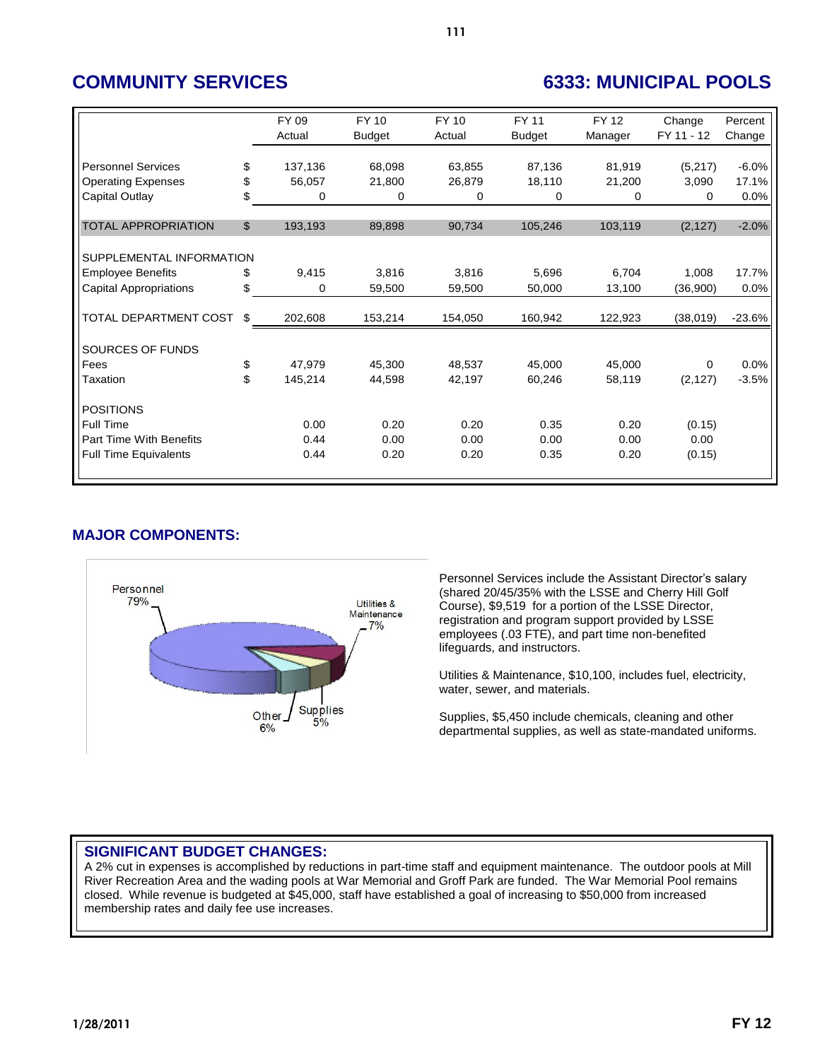# **COMMUNITY SERVICES 6333: MUNICIPAL POOLS**

|                                | FY 09<br>Actual | FY 10<br><b>Budget</b> | <b>FY 10</b><br>Actual | FY 11<br><b>Budget</b> | <b>FY 12</b><br>Manager | Change<br>FY 11 - 12 | Percent<br>Change |
|--------------------------------|-----------------|------------------------|------------------------|------------------------|-------------------------|----------------------|-------------------|
|                                |                 |                        |                        |                        |                         |                      |                   |
| <b>Personnel Services</b>      | \$<br>137,136   | 68.098                 | 63,855                 | 87,136                 | 81,919                  | (5,217)              | $-6.0%$           |
| <b>Operating Expenses</b>      | \$<br>56,057    | 21,800                 | 26,879                 | 18,110                 | 21,200                  | 3,090                | 17.1%             |
| Capital Outlay                 | \$<br>0         | 0                      | 0                      | 0                      | 0                       | 0                    | 0.0%              |
|                                |                 |                        |                        |                        |                         |                      |                   |
| <b>TOTAL APPROPRIATION</b>     | \$<br>193,193   | 89,898                 | 90,734                 | 105,246                | 103,119                 | (2, 127)             | $-2.0%$           |
|                                |                 |                        |                        |                        |                         |                      |                   |
| SUPPLEMENTAL INFORMATION       |                 |                        |                        |                        |                         |                      |                   |
| <b>Employee Benefits</b>       | \$<br>9,415     | 3,816                  | 3,816                  | 5,696                  | 6,704                   | 1,008                | 17.7%             |
| <b>Capital Appropriations</b>  | \$<br>0         | 59,500                 | 59,500                 | 50,000                 | 13,100                  | (36,900)             | 0.0%              |
|                                |                 |                        |                        |                        |                         |                      |                   |
| TOTAL DEPARTMENT COST          | \$<br>202,608   | 153,214                | 154,050                | 160,942                | 122,923                 | (38,019)             | $-23.6%$          |
|                                |                 |                        |                        |                        |                         |                      |                   |
| SOURCES OF FUNDS               |                 |                        |                        |                        |                         |                      |                   |
| Fees                           | \$<br>47,979    | 45,300                 | 48,537                 | 45,000                 | 45,000                  | 0                    | 0.0%              |
| Taxation                       | \$<br>145,214   | 44,598                 | 42,197                 | 60,246                 | 58,119                  | (2, 127)             | $-3.5%$           |
|                                |                 |                        |                        |                        |                         |                      |                   |
| <b>POSITIONS</b>               |                 |                        |                        |                        |                         |                      |                   |
| Full Time                      | 0.00            | 0.20                   | 0.20                   | 0.35                   | 0.20                    | (0.15)               |                   |
| <b>Part Time With Benefits</b> | 0.44            | 0.00                   | 0.00                   | 0.00                   | 0.00                    | 0.00                 |                   |
| <b>Full Time Equivalents</b>   | 0.44            | 0.20                   | 0.20                   | 0.35                   | 0.20                    | (0.15)               |                   |
|                                |                 |                        |                        |                        |                         |                      |                   |

## **MAJOR COMPONENTS:**



Personnel Services include the Assistant Director's salary (shared 20/45/35% with the LSSE and Cherry Hill Golf Course), \$9,519 for a portion of the LSSE Director, registration and program support provided by LSSE employees (.03 FTE), and part time non-benefited lifeguards, and instructors.

Utilities & Maintenance, \$10,100, includes fuel, electricity, water, sewer, and materials.

Supplies, \$5,450 include chemicals, cleaning and other departmental supplies, as well as state-mandated uniforms.

## **SIGNIFICANT BUDGET CHANGES:**

A 2% cut in expenses is accomplished by reductions in part-time staff and equipment maintenance. The outdoor pools at Mill River Recreation Area and the wading pools at War Memorial and Groff Park are funded. The War Memorial Pool remains closed. While revenue is budgeted at \$45,000, staff have established a goal of increasing to \$50,000 from increased membership rates and daily fee use increases.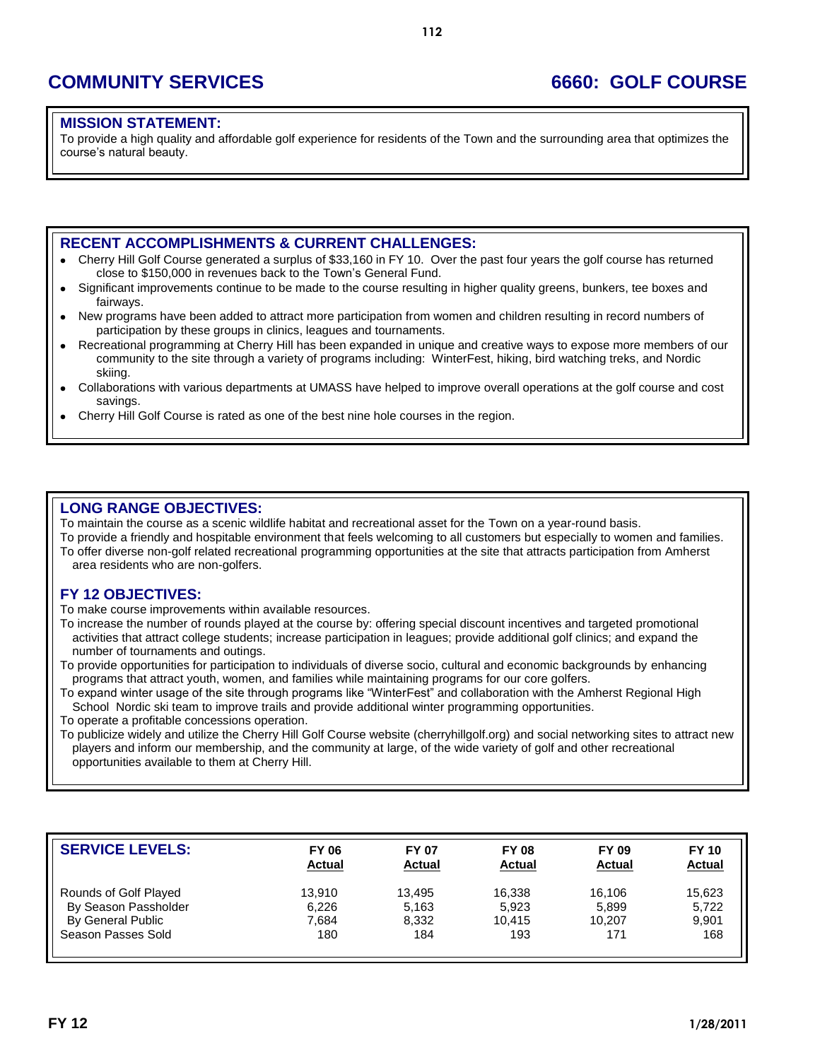# **COMMUNITY SERVICES 6660: GOLF COURSE**

### **MISSION STATEMENT:**

To provide a high quality and affordable golf experience for residents of the Town and the surrounding area that optimizes the course's natural beauty.

### **RECENT ACCOMPLISHMENTS & CURRENT CHALLENGES:**

- Cherry Hill Golf Course generated a surplus of \$33,160 in FY 10. Over the past four years the golf course has returned close to \$150,000 in revenues back to the Town's General Fund.
- Significant improvements continue to be made to the course resulting in higher quality greens, bunkers, tee boxes and  $\bullet$ fairways.
- New programs have been added to attract more participation from women and children resulting in record numbers of  $\bullet$ participation by these groups in clinics, leagues and tournaments.
- Recreational programming at Cherry Hill has been expanded in unique and creative ways to expose more members of our  $\bullet$ community to the site through a variety of programs including: WinterFest, hiking, bird watching treks, and Nordic skiing.
- Collaborations with various departments at UMASS have helped to improve overall operations at the golf course and cost savings.
- Cherry Hill Golf Course is rated as one of the best nine hole courses in the region.

### **LONG RANGE OBJECTIVES:**

To maintain the course as a scenic wildlife habitat and recreational asset for the Town on a year-round basis. To provide a friendly and hospitable environment that feels welcoming to all customers but especially to women and families. To offer diverse non-golf related recreational programming opportunities at the site that attracts participation from Amherst area residents who are non-golfers.

### **FY 12 OBJECTIVES:**

To make course improvements within available resources.

To increase the number of rounds played at the course by: offering special discount incentives and targeted promotional activities that attract college students; increase participation in leagues; provide additional golf clinics; and expand the number of tournaments and outings.

To provide opportunities for participation to individuals of diverse socio, cultural and economic backgrounds by enhancing programs that attract youth, women, and families while maintaining programs for our core golfers.

To expand winter usage of the site through programs like "WinterFest" and collaboration with the Amherst Regional High School Nordic ski team to improve trails and provide additional winter programming opportunities.

To operate a profitable concessions operation.

To publicize widely and utilize the Cherry Hill Golf Course website (cherryhillgolf.org) and social networking sites to attract new players and inform our membership, and the community at large, of the wide variety of golf and other recreational opportunities available to them at Cherry Hill.

| <b>SERVICE LEVELS:</b> | <b>FY 06</b><br><b>Actual</b> | <b>FY 07</b><br><b>Actual</b> | <b>FY 08</b><br><b>Actual</b> | <b>FY 09</b><br><b>Actual</b> | <b>FY 10</b><br><b>Actual</b> |
|------------------------|-------------------------------|-------------------------------|-------------------------------|-------------------------------|-------------------------------|
| Rounds of Golf Played  | 13.910                        | 13.495                        | 16,338                        | 16.106                        | 15.623                        |
| By Season Passholder   | 6.226                         | 5,163                         | 5,923                         | 5,899                         | 5,722                         |
| By General Public      | 7.684                         | 8.332                         | 10.415                        | 10.207                        | 9.901                         |
| Season Passes Sold     | 180                           | 184                           | 193                           | 171                           | 168                           |
|                        |                               |                               |                               |                               |                               |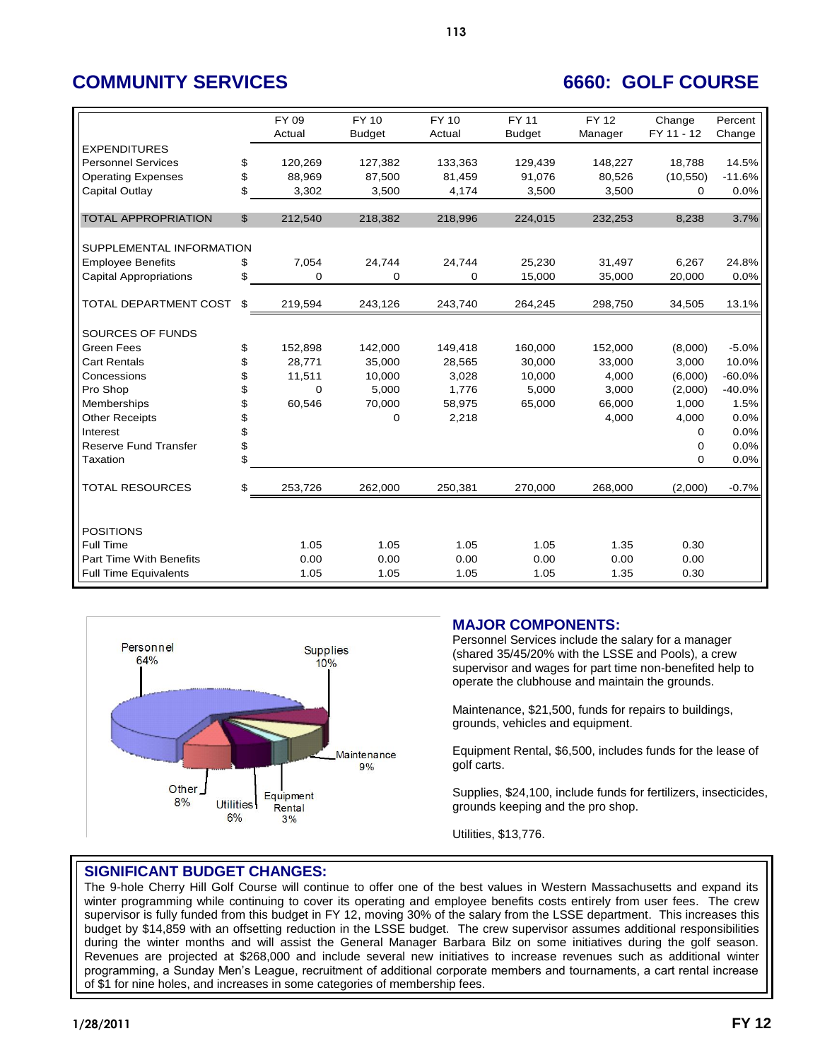# **COMMUNITY SERVICES 6660: GOLF COURSE**

|                                |          | FY 09       | <b>FY 10</b>  | <b>FY 10</b> | <b>FY 11</b>  | <b>FY 12</b> | Change     | Percent  |
|--------------------------------|----------|-------------|---------------|--------------|---------------|--------------|------------|----------|
|                                |          | Actual      | <b>Budget</b> | Actual       | <b>Budget</b> | Manager      | FY 11 - 12 | Change   |
| <b>EXPENDITURES</b>            |          |             |               |              |               |              |            |          |
| <b>Personnel Services</b>      | \$       | 120,269     | 127,382       | 133,363      | 129,439       | 148,227      | 18,788     | 14.5%    |
| <b>Operating Expenses</b>      | \$       | 88,969      | 87,500        | 81,459       | 91,076        | 80,526       | (10, 550)  | $-11.6%$ |
| Capital Outlay                 | \$.      | 3,302       | 3,500         | 4,174        | 3,500         | 3,500        | 0          | 0.0%     |
| <b>TOTAL APPROPRIATION</b>     | \$       | 212,540     | 218,382       | 218,996      | 224,015       | 232,253      | 8,238      | 3.7%     |
| SUPPLEMENTAL INFORMATION       |          |             |               |              |               |              |            |          |
| <b>Employee Benefits</b>       | \$       | 7,054       | 24,744        | 24,744       | 25,230        | 31,497       | 6,267      | 24.8%    |
| <b>Capital Appropriations</b>  | \$       | 0           | 0             | 0            | 15,000        | 35,000       | 20,000     | 0.0%     |
| TOTAL DEPARTMENT COST          | \$       | 219,594     | 243,126       | 243,740      | 264,245       | 298,750      | 34,505     | 13.1%    |
|                                |          |             |               |              |               |              |            |          |
| SOURCES OF FUNDS               |          |             |               |              |               |              |            |          |
| <b>Green Fees</b>              | \$       | 152,898     | 142,000       | 149,418      | 160.000       | 152,000      | (8,000)    | $-5.0%$  |
| <b>Cart Rentals</b>            | \$       | 28,771      | 35,000        | 28,565       | 30,000        | 33,000       | 3,000      | 10.0%    |
| Concessions                    | \$       | 11,511      | 10,000        | 3,028        | 10,000        | 4,000        | (6,000)    | $-60.0%$ |
| Pro Shop                       | \$       | $\mathbf 0$ | 5,000         | 1,776        | 5,000         | 3,000        | (2,000)    | $-40.0%$ |
| Memberships                    | \$       | 60,546      | 70,000        | 58,975       | 65,000        | 66.000       | 1.000      | 1.5%     |
| <b>Other Receipts</b>          | \$       |             | $\Omega$      | 2,218        |               | 4,000        | 4,000      | 0.0%     |
| Interest                       | \$       |             |               |              |               |              | 0          | 0.0%     |
| <b>Reserve Fund Transfer</b>   | \$<br>\$ |             |               |              |               |              | 0          | 0.0%     |
| Taxation                       |          |             |               |              |               |              | 0          | 0.0%     |
| <b>TOTAL RESOURCES</b>         | \$       | 253,726     | 262,000       | 250,381      | 270,000       | 268,000      | (2,000)    | $-0.7%$  |
|                                |          |             |               |              |               |              |            |          |
| <b>POSITIONS</b>               |          |             |               |              |               |              |            |          |
| Full Time                      |          | 1.05        | 1.05          | 1.05         | 1.05          | 1.35         | 0.30       |          |
| <b>Part Time With Benefits</b> |          | 0.00        | 0.00          | 0.00         | 0.00          | 0.00         | 0.00       |          |
| <b>Full Time Equivalents</b>   |          | 1.05        | 1.05          | 1.05         | 1.05          | 1.35         | 0.30       |          |



## **MAJOR COMPONENTS:**

Personnel Services include the salary for a manager (shared 35/45/20% with the LSSE and Pools), a crew supervisor and wages for part time non-benefited help to operate the clubhouse and maintain the grounds.

Maintenance, \$21,500, funds for repairs to buildings, grounds, vehicles and equipment.

Equipment Rental, \$6,500, includes funds for the lease of golf carts.

Supplies, \$24,100, include funds for fertilizers, insecticides, grounds keeping and the pro shop.

Utilities, \$13,776.

### **SIGNIFICANT BUDGET CHANGES:**

The 9-hole Cherry Hill Golf Course will continue to offer one of the best values in Western Massachusetts and expand its winter programming while continuing to cover its operating and employee benefits costs entirely from user fees. The crew supervisor is fully funded from this budget in FY 12, moving 30% of the salary from the LSSE department. This increases this budget by \$14,859 with an offsetting reduction in the LSSE budget. The crew supervisor assumes additional responsibilities during the winter months and will assist the General Manager Barbara Bilz on some initiatives during the golf season. Revenues are projected at \$268,000 and include several new initiatives to increase revenues such as additional winter programming, a Sunday Men's League, recruitment of additional corporate members and tournaments, a cart rental increase of \$1 for nine holes, and increases in some categories of membership fees.